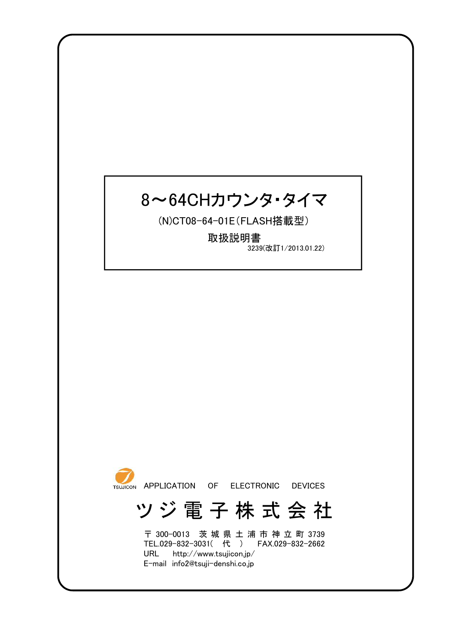# 8~64CHカウンタ・タイマ

(N)CT08-64-01E(FLASH搭載型)

取扱説明書 3239(改訂1/2013.01.22)



# ツ ジ 電 子 株 式 会 社

〒 300-0013 茨 城 県 土 浦 市 神 立 町 3739 TEL.029-832-3031( 代 ) FAX.029-832-2662 URL http://www.tsujicon.jp/ E-mail info2@tsuji-denshi.co.jp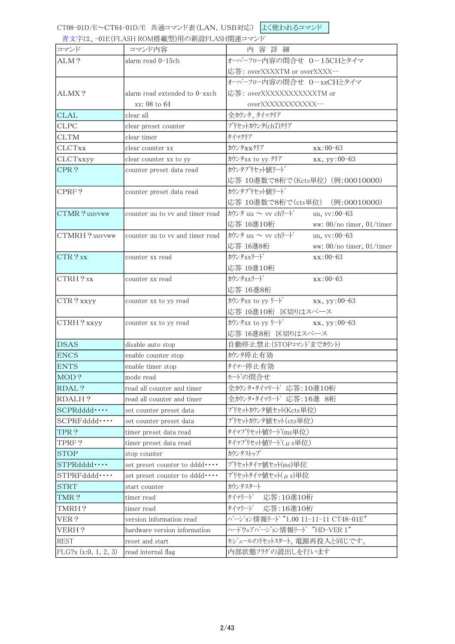青文字は、-01E(FLASH ROM搭載型)用の新設FLASH関連コマンド

|                      | $\frac{1}{2}$ . In refer the might $\frac{1}{2}$ and $\frac{1}{2}$ and $\frac{1}{2}$ and $\frac{1}{2}$ and $\frac{1}{2}$ and $\frac{1}{2}$ |                                                      |
|----------------------|--------------------------------------------------------------------------------------------------------------------------------------------|------------------------------------------------------|
| コマンド                 | コマンド内容                                                                                                                                     | 内容詳細                                                 |
| ALM?                 | alarm read 0-15ch                                                                                                                          | オーバーフロー内容の問合せ 0-15CHとタイマ                             |
|                      |                                                                                                                                            | 応答: overXXXXTM or overXXXX--                         |
|                      |                                                                                                                                            | オーバーフロー内容の問合せ 0-xxCHとタイマ                             |
| ALMX?                | alarm read extended to 0-xxch                                                                                                              | 応答: overXXXXXXXXXXXTM or                             |
|                      | xx: 08 to 64                                                                                                                               | overXXXXXXXXXXX--                                    |
| <b>CLAL</b>          | clear all                                                                                                                                  | 全カウンタ、タイマクリア                                         |
| <b>CLPC</b>          | clear preset counter                                                                                                                       | プリセットカウンタ(ch7)クリア                                    |
| <b>CLTM</b>          | clear timer                                                                                                                                | タイマクリア                                               |
| <b>CLCTxx</b>        | clear counter xx                                                                                                                           | カウンタxxクリア<br>$xx:00-63$                              |
| CLCTxxyy             | clear counter xx to yy                                                                                                                     | カウンタxx to yy クリア<br>xx, yy:00-63                     |
| CPR?                 | counter preset data read                                                                                                                   | カウンタプリセット値リード                                        |
|                      |                                                                                                                                            | 応答 10進数で8桁で(Kcts単位) (例:00010000)                     |
| CPRF?                | counter preset data read                                                                                                                   | カウンタプリセット値リード                                        |
|                      |                                                                                                                                            | 応答 10進数で8桁で(cts単位) (例:00010000)                      |
| CTMR? uuvvww         | counter uu to vv and timer read                                                                                                            | カウンタ uu $\sim$ vv chリード<br>uu, vv:00-63              |
|                      |                                                                                                                                            | 応答 10進10桁<br>ww: 00/no timer, 01/timer               |
| CTMRH?uuvvww         | counter uu to vy and timer read                                                                                                            | カウンタ uu $\sim$ vv chリート゛<br>uu, vv:00-63             |
|                      |                                                                                                                                            | 応答 16進8桁<br>ww: 00/no timer, 01/timer                |
| CTR?xx               | counter xx read                                                                                                                            | カウンタxxリート<br>$xx:00-63$                              |
|                      |                                                                                                                                            | 応答 10進10桁                                            |
| CTRH?xx              | counter xx read                                                                                                                            | カウンタxxリート<br>$xx:00-63$                              |
|                      |                                                                                                                                            | 応答 16進8桁                                             |
| CTR? xxyy            | counter xx to yy read                                                                                                                      | $\pi y/\pi x$ to yy $\psi$ <sup>+</sup> xx, yy:00-63 |
|                      |                                                                                                                                            | 応答 10進10桁 区切りはスペース                                   |
| CTRH? xxyy           | counter xx to yy read                                                                                                                      | $\pi$ / $\pi$ / $\pi$ xx, yy:00-63                   |
|                      |                                                                                                                                            | 応答 16進8桁 区切りはスペース                                    |
| <b>DSAS</b>          | disable auto stop                                                                                                                          | 自動停止禁止(STOPコマント'までカウント)                              |
| <b>ENCS</b>          | enable counter stop                                                                                                                        | カウンタ停止有効                                             |
| <b>ENTS</b>          | enable timer stop                                                                                                                          | 外々一停止有効                                              |
| MOD?                 | mode read                                                                                                                                  | モードの間合せ                                              |
| RDAL?                | read all counter and timer                                                                                                                 | 全カウンタ・タイマリード 応答:10進10桁                               |
| RDALH?               | read all counter and timer                                                                                                                 | 全カウンタ・タイマリード 応答:16進 8桁                               |
| SCPRddd              | set counter preset data                                                                                                                    | プリセットカウンタ値セット(Kcts単位)                                |
| $SCPRFdddd \cdots$   | set counter preset data                                                                                                                    | プリセットカウンタ値セット (cts単位)                                |
| TPR?                 | timer preset data read                                                                                                                     | タイマプリセット値リート(ms単位)                                   |
| TPRF?                | timer preset data read                                                                                                                     | タイマプリセット値リート(μs単位)                                   |
| <b>STOP</b>          | stop counter                                                                                                                               | カウンタストップ                                             |
| STPRddd              | set preset counter to dddd ••••                                                                                                            | プリセットタイマ値セット(ms)単位                                   |
| $STPRFdddd \cdots$   | set preset counter to dddd                                                                                                                 | プリセットタイマ値セット(μs)単位                                   |
| <b>STRT</b>          | start counter                                                                                                                              | カウンタスタート                                             |
| TMR?                 | timer read                                                                                                                                 | タイマリート゛ 応答:10進10桁                                    |
| TMRH?                | timer read                                                                                                                                 | タイマリート゛<br>応答:16進10桁                                 |
| VER?                 | version information read                                                                                                                   | バージョン情報リート "1.00 11-11-11 CT48-01E"                  |
| VERH?                | hardware version information                                                                                                               | ハートウェアハージョン情報リート "HD-VER 1"                          |
| <b>REST</b>          | reset and start                                                                                                                            | モジュールのリセットスタート。電源再投入と同じです。                           |
| FLG?x (x:0, 1, 2, 3) | read internal flag                                                                                                                         | 内部状態フラグの読出しを行います                                     |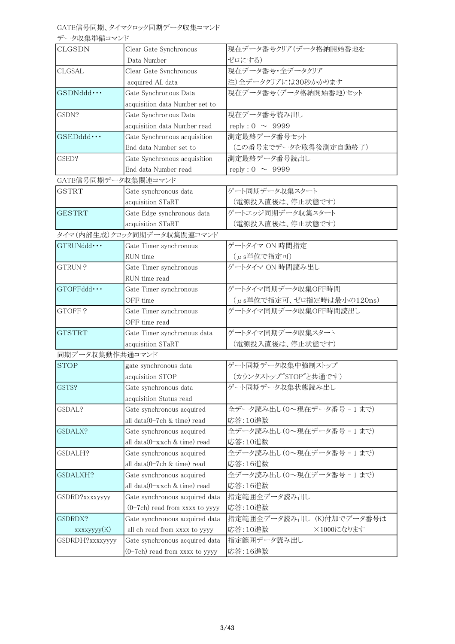# GATE信号同期、タイマクロック同期データ収集コマンド

データ収集準備コマンド

| <b>CLGSDN</b>       | Clear Gate Synchronous           | 現在データ番号クリア(データ格納開始番地を     |
|---------------------|----------------------------------|---------------------------|
|                     | Data Number                      | ゼロにする)                    |
| <b>CLGSAL</b>       | Clear Gate Synchronous           | 現在データ番号·全データクリア           |
|                     | acquired All data                | 注)全データクリアには30秒かかります       |
| GSDNddd ···         | Gate Synchronous Data            | 現在データ番号(データ格納開始番地)セット     |
|                     | acquisition data Number set to   |                           |
| GSDN?               | Gate Synchronous Data            | 現在データ番号読み出し               |
|                     | acquisition data Number read     | reply : $0 \sim 9999$     |
| $GSEDddd \cdots$    | Gate Synchronous acquisition     | 測定最終データ番号セット              |
|                     | End data Number set to           | (この番号までデータを取得後測定自動終了)     |
| GSED?               | Gate Synchronous acquisition     | 測定最終データ番号読出し              |
|                     | End data Number read             | reply : $0 \sim 9999$     |
| GATE信号同期データ収集関連コマンド |                                  |                           |
| <b>GSTRT</b>        | Gate synchronous data            | ゲート同期データ収集スタート            |
|                     | acquisition STaRT                | (電源投入直後は、停止状態です)          |
| <b>GESTRT</b>       | Gate Edge synchronous data       | ゲートエッジ同期データ収集スタート         |
|                     | acquisition STaRT                | (電源投入直後は、停止状態です)          |
|                     | タイマ(内部生成)クロック同期データ収集関連コマンド       |                           |
| GTRUNddd · · ·      | Gate Timer synchronous           | ゲートタイマ ON 時間指定            |
|                     | RUN time                         | $(\mu s)$ 単位で指定可)         |
| GTRUN?              | Gate Timer synchronous           | ゲートタイマ ON 時間読み出し          |
|                     | RUN time read                    |                           |
| $GTOFFddd\cdots$    | Gate Timer synchronous           | ゲートタイマ同期データ収集OFF時間        |
|                     | OFF time                         | (µs単位で指定可、ゼロ指定時は最小の120ns) |
| GTOFF?              | Gate Timer synchronous           | ゲートタイマ同期データ収集OFF時間読出し     |
|                     | OFF time read                    |                           |
| <b>GTSTRT</b>       | Gate Timer synchronous data      | ゲートタイマ同期データ収集スタート         |
|                     | acquisition STaRT                | (電源投入直後は、停止状態です)          |
| 同期データ収集動作共通コマンド     |                                  |                           |
| <b>STOP</b>         | gate synchronous data            | ゲート同期データ収集中強制ストップ         |
|                     | acquisition STOP                 | (カウンタストップ"STOP"と共通です)     |
| GSTS?               | Gate synchronous data            | ゲート同期データ収集状態読み出し          |
|                     | acquisition Status read          |                           |
| GSDAL?              | Gate synchronous acquired        | 全データ読み出し(0~現在データ番号-1まで)   |
|                     | all data(0-7ch & time) read      | 応答:10進数                   |
| GSDALX?             | Gate synchronous acquired        | 全データ読み出し(0~現在データ番号-1まで)   |
|                     | all $data(0-xxch \& time)$ read  | 応答:10進数                   |
| GSDALH?             | Gate synchronous acquired        | 全データ読み出し(0~現在データ番号-1まで)   |
|                     | all data(0-7ch & time) read      | 応答:16進数                   |
| GSDALXH?            | Gate synchronous acquired        | 全データ読み出し(0~現在データ番号-1まで)   |
|                     | all data(0-xxch & time) read     | 応答:16進数                   |
| GSDRD?xxxxyyyy      | Gate synchronous acquired data   | 指定範囲全データ読み出し              |
|                     | $(0-7ch)$ read from xxxx to yyyy | 応答:10進数                   |
| GSDRDX?             | Gate synchronous acquired data   | 指定範囲全データ読み出し (K)付加でデータ番号は |
| xxxxyyyy(K)         | all ch read from xxxx to yyyy    | 応答:10進数<br>×1000になります     |
| GSDRDH?xxxxyyyy     | Gate synchronous acquired data   | 指定範囲データ読み出し               |
|                     | $(0-7ch)$ read from xxxx to yyyy | 応答:16進数                   |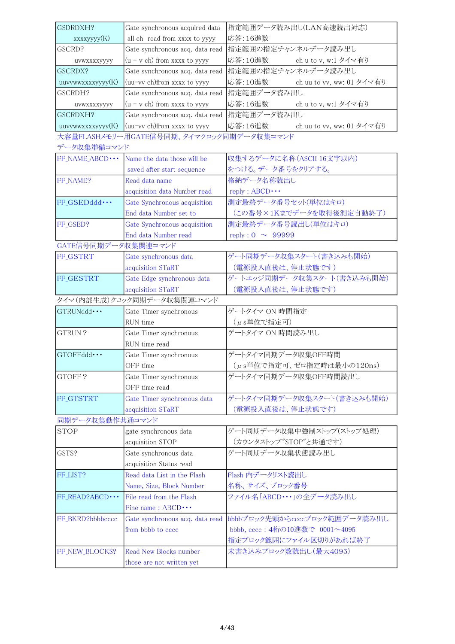| GSDRDXH?            |                                                                 | 指定範囲データ読み出し(LAN高速読出対応)               |
|---------------------|-----------------------------------------------------------------|--------------------------------------|
| xxxxyyyy(K)         | Gate synchronous acquired data<br>all ch read from xxxx to yyyy | 応答:16進数                              |
| GSCRD?              | Gate synchronous acq. data read                                 | 指定範囲の指定チャンネルデータ読み出し                  |
|                     | $(u - v ch)$ from xxxx to yyyy                                  | 応答:10進数<br>ch u to v, w:1 タイマ有り      |
| UVWXXXXYYYY         |                                                                 | 指定範囲の指定チャンネルデータ読み出し                  |
| GSCRDX?             | Gate synchronous acq. data read                                 |                                      |
| uuvvwwxxxxyyyy(K)   | (uu-vv ch)from xxxx to yyyy                                     | 応答:10進数<br>ch uu to vv, ww: 01 タイマ有り |
| GSCRDH?             | Gate synchronous acq. data read                                 | 指定範囲データ読み出し                          |
| uvwxxxxyyyy         | $(u - v ch)$ from xxxx to yyyy                                  | 応答:16進数<br>ch u to v, w:1 タイマ有り      |
| GSCRDXH?            | Gate synchronous acq. data read                                 | 指定範囲データ読み出し                          |
| uuvvwwxxxxyyyy(K)   | (uu-vv ch)from xxxx to yyyy                                     | 応答:16進数<br>ch uu to vv, ww: 01 タイマ有り |
|                     | 大容量FLASHメモリー用GATE信号同期、タイマクロック同期データ収集コマンド                        |                                      |
| データ収集準備コマンド         |                                                                 |                                      |
| FF_NAME_ABCD · · ·  | Name the data those will be                                     | 収集するデータに名称(ASCII 16文字以内)             |
|                     | saved after start sequence                                      | をつける。データ番号をクリアする。                    |
| FF_NAME?            | Read data name                                                  | 格納データ名称読出し                           |
|                     | acquisition data Number read                                    | $reply : ABCD \cdots$                |
| FF GSEDddd ···      | Gate Synchronous acquisition                                    | 測定最終データ番号セット(単位はキロ)                  |
|                     | End data Number set to                                          | (この番号×1Kまでデータを取得後測定自動終了)             |
| FF_GSED?            | Gate Synchronous acquisition                                    | 測定最終データ番号読出し(単位はキロ)                  |
|                     | End data Number read                                            | reply : $0 \sim 99999$               |
| GATE信号同期データ収集関連コマンド |                                                                 |                                      |
| FF_GSTRT            | Gate synchronous data                                           | ゲート同期データ収集スタート(書き込みも開始)              |
|                     | acquisition STaRT                                               | (電源投入直後は、停止状態です)                     |
| FF_GESTRT           | Gate Edge synchronous data                                      | ゲートエッジ同期データ収集スタート(書き込みも開始)           |
|                     | acquisition STaRT                                               | (電源投入直後は、停止状態です)                     |
|                     |                                                                 |                                      |
|                     | タイマ(内部生成)クロック同期データ収集関連コマンド                                      |                                      |
| GTRUNddd ···        | Gate Timer synchronous                                          | ゲートタイマ ON 時間指定                       |
|                     | RUN time                                                        | (µs単位で指定可)                           |
| GTRUN?              | Gate Timer synchronous                                          | ゲートタイマ ON 時間読み出し                     |
|                     | RUN time read                                                   |                                      |
| $GTOFFddd \cdots$   | Gate Timer synchronous                                          | ゲートタイマ同期データ収集OFF時間                   |
|                     | OFF time                                                        |                                      |
|                     |                                                                 | (µs単位で指定可、ゼロ指定時は最小の120ns)            |
| GTOFF?              | Gate Timer synchronous<br>OFF time read                         | ゲートタイマ同期データ収集OFF時間読出し                |
|                     |                                                                 |                                      |
| FF_GTSTRT           | Gate Timer synchronous data                                     | ゲートタイマ同期データ収集スタート(書き込みも開始)           |
|                     | acquisition STaRT                                               | (電源投入直後は、停止状態です)                     |
| 同期データ収集動作共通コマンド     |                                                                 |                                      |
| <b>STOP</b>         | gate synchronous data                                           | ゲート同期データ収集中強制ストップ(ストップ処理)            |
|                     | acquisition STOP                                                | (カウンタストップ"STOP"と共通です)                |
| GSTS?               | Gate synchronous data                                           | ゲート同期データ収集状態読み出し                     |
|                     | acquisition Status read                                         |                                      |
| FF_LIST?            | Read data List in the Flash                                     | Flash 内データリスト読出し                     |
|                     | Name, Size, Block Number                                        | 名称、サイズ、ブロック番号                        |
| FF_READ?ABCD · · ·  | File read from the Flash                                        | ファイル名「ABCD・・・」の全データ読み出し              |
|                     | Fine name: $ABCD \cdots$                                        |                                      |
| FF_BKRD?bbbbcccc    | Gate synchronous acq. data read                                 | bbbbブロック先頭からccccブロック範囲データ読み出し        |
|                     | from bbbb to cccc                                               | bbbb, cccc: 4桁の10進数で 0001~4095       |
|                     |                                                                 | 指定ブロック範囲にファイル区切りがあれば終了               |
| FF_NEW_BLOCKS?      | Read New Blocks number<br>those are not written yet             | 未書き込みブロック数読出し(最大4095)                |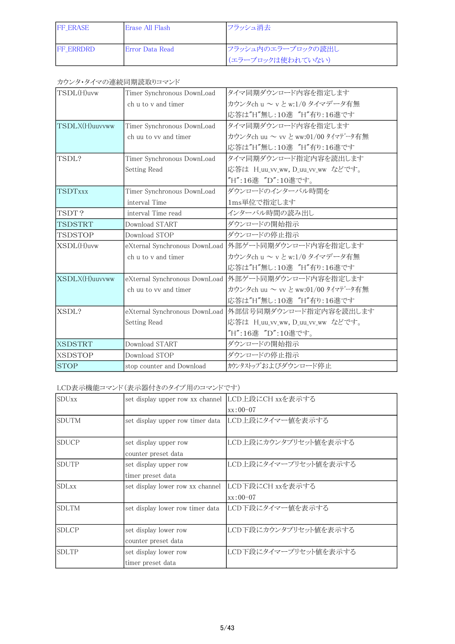| <b>IFF ERASE</b>  | lErase All Flash-       | フラッシュ消去                                  |
|-------------------|-------------------------|------------------------------------------|
| <b>IFF ERRDRD</b> | <b>IError Data Read</b> | フラッシュ内のエラーブロックの読出し<br> (エラーブロックは使われていない) |

## カウンタ・タイマの連続同期読取りコマンド

| TSDL(H)uvw     | Timer Synchronous DownLoad    | タイマ同期ダウンロード内容を指定します                                   |
|----------------|-------------------------------|-------------------------------------------------------|
|                | ch u to y and timer           | カウンタch u ~ v と w:1/0 タイマデータ有無                         |
|                |                               | 応答は"H"無し:10進 "H"有り:16進です                              |
| TSDLX(H)uuvvww | Timer Synchronous DownLoad    | タイマ同期ダウンロード内容を指定します                                   |
|                | ch uu to vy and timer         | カウンタch uu ~ vv と ww:01/00 タイマデータ有無                    |
|                |                               | 応答は"H"無し:10進 "H"有り:16進です                              |
| TSDL?          | Timer Synchronous DownLoad    | タイマ同期ダウンロード指定内容を読出します                                 |
|                | Setting Read                  | 応答は H_uu_vv_ww, D_uu_vv_ww などです。                      |
|                |                               | "H":16進 "D":10進です。                                    |
| TSDTxxx        | Timer Synchronous DownLoad    | ダウンロードのインターバル時間を                                      |
|                | interval Time                 | 1ms単位で指定します                                           |
| TSDT?          | interval Time read            | インターバル時間の読み出し                                         |
| TSDSTRT        | Download START                | ダウンロードの開始指示                                           |
| TSDSTOP        | Download STOP                 | ダウンロードの停止指示                                           |
| XSDL(H)uvw     |                               | eXternal Synchronous DownLoad  外部ゲート同期ダウンロード内容を指定します  |
|                | ch u to y and timer           | カウンタch u ~ v と w:1/0 タイマデータ有無                         |
|                |                               | 応答は"H"無し:10進 "H"有り:16進です                              |
| XSDLX(H)uuvvww | eXternal Synchronous DownLoad | 外部ゲート同期ダウンロード内容を指定します                                 |
|                | ch uu to vy and timer         | カウンタch uu ~ vv と ww:01/00 タイマデータ有無                    |
|                |                               | 応答は"H"無し:10進 "H"有り:16進です                              |
| XSDL?          |                               | eXternal Synchronous DownLoad  外部信号同期ダウンロード指定内容を読出します |
|                | Setting Read                  | 応答は H_uu_vv_ww, D_uu_vv_ww などです。                      |
|                |                               | "H":16進 "D":10進です。                                    |
| <b>XSDSTRT</b> | Download START                | ダウンロードの開始指示                                           |
| <b>XSDSTOP</b> | Download STOP                 | ダウンロードの停止指示                                           |
| <b>STOP</b>    | stop counter and Download     | カウンタストップおよびダウンロード停止                                   |

# LCD表示機能コマンド(表示器付きのタイプ用のコマンドです)

| <b>SDUxx</b> | set display upper row xx channel             | LCD上段にCH xxを表示する               |
|--------------|----------------------------------------------|--------------------------------|
|              |                                              | $xx:00-07$                     |
| Isdutm       | set display upper row timer data             | LCD上段にタイマー値を表示する               |
| <b>SDUCP</b> | set display upper row<br>counter preset data | LCD上段にカウンタプリセット値を表示する          |
| Isdutp       | set display upper row<br>timer preset data   | LCD上段にタイマープリセット値を表示する          |
| <b>SDLxx</b> | set display lower row xx channel             | LCD下段にCH xxを表示する<br>$xx:00-07$ |
| ISDLTM       | set display lower row timer data             | LCD下段にタイマー値を表示する               |
| Isdlcp       | set display lower row<br>counter preset data | LCD下段にカウンタプリセット値を表示する          |
| ISDLTP       | set display lower row<br>timer preset data   | LCD下段にタイマープリセット値を表示する          |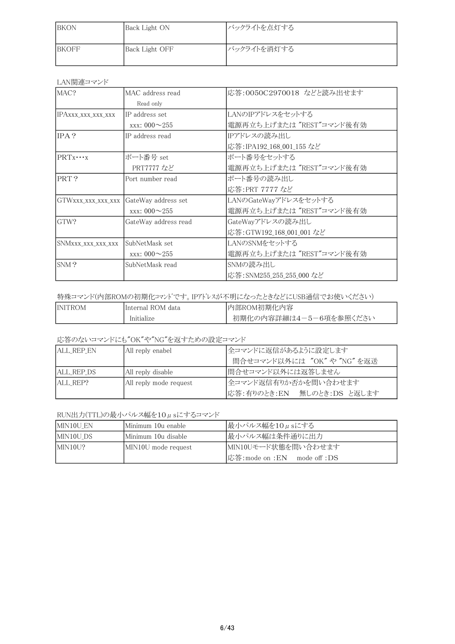| <b>IBKON</b>  | Back Light ON  | バックライトを点灯する |
|---------------|----------------|-------------|
| <b>IBKOFF</b> | Back Light OFF | バックライトを消灯する |

## LAN関連コマンド

| MAC?               | MAC address read           | 応答:0050C2970018 などと読み出せます |
|--------------------|----------------------------|---------------------------|
|                    | Read only                  |                           |
| IPAxxx_xxx_xxx_xxx | IP address set             | LANのIPアドレスをセットする          |
|                    | $\text{xxx}: 000 \sim 255$ | 電源再立ち上げまたは "REST"コマンド後有効  |
| IPA?               | IP address read            | IPアドレスの読み出し               |
|                    |                            | 応答: IPA192_168_001_155 など |
| $PRTX \cdots X$    | ポート番号 set                  | ポート番号をセットする               |
|                    | PRT7777 など                 | 電源再立ち上げまたは "REST"コマンド後有効  |
| PRT?               | Port number read           | ポート番号の読み出し                |
|                    |                            | 応答:PRT 7777 など            |
| GTWXXX_XXX_XXX_XXX | GateWay address set        | LANのGateWayアドレスをセットする     |
|                    | $\text{xxx}: 000 \sim 255$ | 電源再立ち上げまたは "REST"コマンド後有効  |
| GTW?               | GateWay address read       | GateWayアドレスの読み出し          |
|                    |                            | 応答:GTW192_168_001_001 など  |
| SNMxxx_xxx_xxx_xxx | SubNetMask set             | LANのSNMをセットする             |
|                    | $\text{xxx}: 000 \sim 255$ | 電源再立ち上げまたは "REST"コマンド後有効  |
| SNM?               | SubNetMask read            | SNMの読み出し                  |
|                    |                            | 応答: SNM255_255_255_000 など |

## 特殊コマンド(内部ROMの初期化コマンドです。IPアドレスが不明になったときなどにUSB通信でお使いください)

| <b>INITROM</b> | IInternal ROM data | 内部ROM初期化内容             |
|----------------|--------------------|------------------------|
|                | Initialize         | 初期化の内容詳細は4-5-6項を参照ください |

応答のないコマンドにも"OK"や"NG"を返すための設定コマンド

| <b>ALL REP EN</b> | All reply enabel       | 全コマンドに返信があるように設定します         |
|-------------------|------------------------|-----------------------------|
|                   |                        | 間合せコマンド以外には "OK" や "NG" を返送 |
| ALL REP DS        | All reply disable      | 間合せコマンド以外には返答しません           |
| IALL REP?         | All reply mode request | 全コマンド返信有りか否かを間い合わせます        |
|                   |                        | 応答:有りのとき:EN 無しのとき:DS と返します  |

## RUN出力(TTL)の最小パルス幅を10µsにするコマンド

| MIN10U EN | Minimum 10u enable    | 最小パルス幅を10μsにする                   |
|-----------|-----------------------|----------------------------------|
| MIN10U DS | lMinimum 10u disable- | 最小パルス幅は条件通りに出力                   |
| MIN10U?   | MIN10U mode request   | MIN10Uモード状態を問い合わせます              |
|           |                       | 応答: mode on : EN   mode off : DS |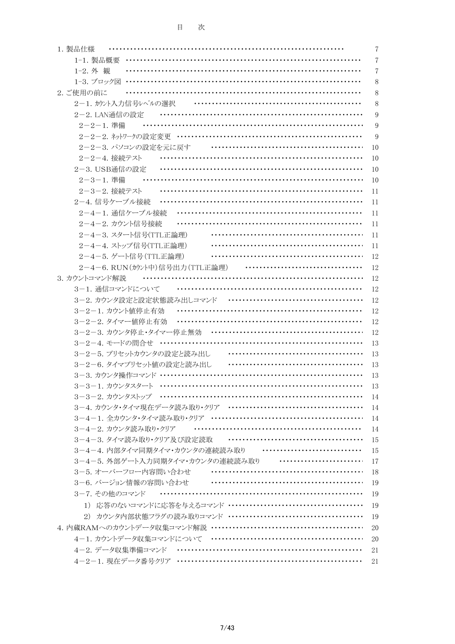| 1. 製品仕様                                    | 7              |
|--------------------------------------------|----------------|
| 1-1. 製品概要                                  | 7              |
| 1-2. 外観                                    | $\overline{7}$ |
| 1-3. ブロック図                                 | 8              |
| 2. ご使用の前に                                  | 8              |
| 2-1. カウント入力信号レベルの選択                        | 8              |
| 2-2. LAN通信の設定                              | 9              |
| 2-2-1. 準備                                  | 9              |
|                                            | 9              |
| 2-2-3. パソコンの設定を元に戻す                        | 10             |
| 2-2-4. 接続テスト                               | 10             |
| 2-3. USB通信の設定                              | 10             |
| 2-3-1. 準備                                  | 10             |
| 2-3-2. 接続テスト                               | 11             |
| 2-4. 信号ケーブル接続                              | 11             |
| 2-4-1. 通信ケーブル接続                            | 11             |
| 2-4-2. カウント信号接続                            | 11             |
| 2-4-3. スタート信号(TTL正論理)                      | 11             |
| 2-4-4. ストップ信号(TTL正論理)                      | 11             |
| 2-4-5. ゲート信号 (TTL正論理)                      | 12             |
| 2-4-6. RUN (カウント中)信号出力 (TTL正論理)            | 12             |
| 3. カウントコマンド解説<br>.                         | 12             |
| 3-1. 通信コマンドについて                            | 12             |
| 3-2. カウンタ設定と設定状態読み出しコマンド                   | 12             |
| 3-2-1. カウント値停止有効                           | 12             |
| 3-2-2. タイマー値停止有効                           | 12             |
|                                            | 12             |
| 3-2-4. モードの問合せ …………………………………………………………      | 13             |
| 3-2-5. プリセットカウンタの設定と読み出し ………………………………………   | 13             |
| 3-2-6. タイマプリセット値の設定と読み出し                   | 13             |
|                                            | 13             |
|                                            | -13            |
|                                            | 14             |
|                                            | 14             |
| 3-4-2. カウンタ読み取り・クリア ………………………………………………     | 14<br>14       |
| 3-4-3. タイマ読み取り・クリア及び設定読取 ………………………………………   | 15             |
| 3-4-4. 内部タイマ同期タイマ・カウンタの連続読み取り ……………………………  | 15             |
| 3-4-5. 外部ゲート入力同期タイマ・カウンタの連続読み取り ………………………… | 17             |
| 3-5.オーバーフロー内容間い合わせ                         | 18             |
| 3-6. バージョン情報の容問い合わせ ………………………………………………     | 19             |
| 3-7. その他のコマンド                              | 19             |
|                                            | 19             |
|                                            | 19             |
|                                            | 20             |
| 4-1. カウントデータ収集コマンドについて …………………………………………    | 20             |
| 4-2. データ収集準備コマンド ……………………………………………………      | 21             |
|                                            | 21             |
|                                            |                |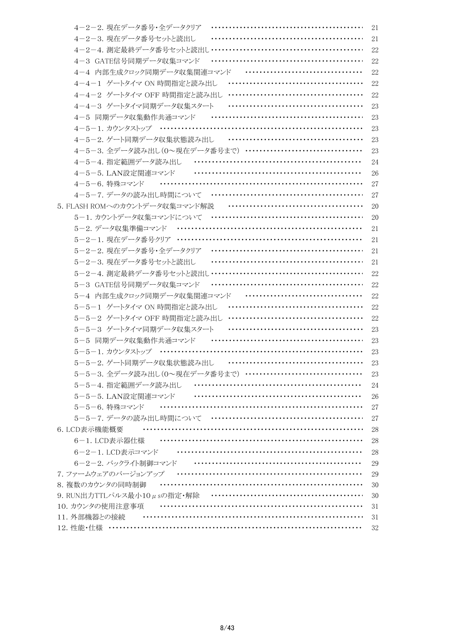| 4-2-2. 現在データ番号・全データクリア                      | 21 |
|---------------------------------------------|----|
| 4-2-3. 現在データ番号セットと読出し                       | 21 |
| 4-2-4. 測定最終データ番号セットと読出し……<br>               | 22 |
| 4-3 GATE信号同期データ収集コマンド                       | 22 |
| 4-4 内部生成クロック同期データ収集関連コマンド ……………………………       | 22 |
|                                             | 22 |
|                                             | 22 |
| 4-4-3 ゲートタイマ同期データ収集スタート<br>                 | 23 |
| 4-5 同期データ収集動作共通コマンド ……………………………………………       | 23 |
| 4-5-1. カウンタストップ …………………………………………………………      | 23 |
| 4-5-2. ゲート同期データ収集状態読み出し …………………………………       | 23 |
| 4-5-3. 全データ読み出し(0~現在データ番号まで) …………………………………  | 23 |
| <br>4-5-4. 指定範囲データ読み出し                      | 24 |
| 4-5-5. LAN設定関連コマンド いいいいいいいいいいいいいいいいいいいいいいいい | 26 |
| 4-5-6. 特殊コマンド                               | 27 |
| 4-5-7. データの読み出し時間について ……………………………………………     | 27 |
| 5. FLASH ROMへのカウントデータ収集コマンド解説               | 20 |
| 5-1. カウントデータ収集コマンドについて …………………………………………     | 20 |
|                                             | 21 |
| 5-2-1. 現在データ番号クリア ……………………………………………………      | 21 |
|                                             | 21 |
| 5-2-3. 現在データ番号セットと読出し                       | 21 |
| 5-2-4. 測定最終データ番号セットと読出し ……………………………………………   | 22 |
| 5-3 GATE信号同期データ収集コマンド                       | 22 |
| 5-4 内部生成クロック同期データ収集関連コマンド                   | 22 |
| <br>5-5-1 ゲートタイマ ON 時間指定と読み出し               | 22 |
|                                             | 22 |
| 5-5-3 ゲートタイマ同期データ収集スタート                     | 23 |
| 5-5 同期データ収集動作共通コマンド                         | 23 |
| 5-5-1. カウンタストップ ………………………………………………………       | 23 |
| 5-5-2. ゲート同期データ収集状態読み出し                     | 23 |
| 5-5-3. 全データ読み出し(0~現在データ番号まで) …………………………………  | 23 |
|                                             | 24 |
|                                             | 26 |
| 5-5-6. 特殊コマンド                               | 27 |
|                                             | 27 |
| 6. LCD表示機能概要                                | 28 |
|                                             | 28 |
| 6-2-1. LCD表示コマンド ……………………………………………………       | 28 |
| 6-2-2. バックライト制御コマンド …………………………………………………     | 29 |
| 7. ファームウェアのバージョンアップ …………………………………………………     | 29 |
|                                             | 30 |
|                                             | 30 |
|                                             | 31 |
| 11. 外部機器との接続                                | 31 |
|                                             | 32 |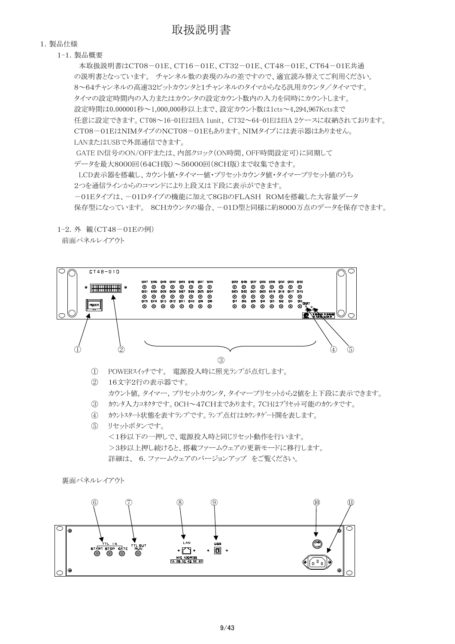#### 1.製品仕様

1-1.製品概要

 本取扱説明書はCT08-01E、CT16-01E、CT32-01E、CT48-01E、CT64-01E共通 の説明書となっています。 チャンネル数の表現のみの差ですので、適宜読み替えてご利用ください。 8~64チャンネルの高速32ビットカウンタと1チャンネルのタイマからなる汎用カウンタ/タイマです。 タイマの設定時間内の入力またはカウンタの設定カウント数内の入力を同時にカウントします。 設定時間は0.000001秒~1,000,000秒以上まで、設定カウント数は1cts~4,294,967Kctsまで 任意に設定できます。CT08~16-01EはEIA 1unit、 CT32~64-01EはEIA 2ケースに収納されております。 CT08-01EはNIMタイプのNCT08-01Eもあります。NIMタイプには表示器はありません。 LANまたはUSBで外部通信できます。 GATE IN信号のON/OFFまたは、内部クロック(ON時間、OFF時間設定可)に同期して データを最大8000回(64CH版)~56000回(8CH版)まで収集できます。 LCD表示器を搭載し、カウント値・タイマー値・プリセットカウンタ値・タイマープリセット値のうち 2つを通信ラインからのコマンドにより上段又は下段に表示ができます。 -01Eタイプは、-01Dタイプの機能に加えて8GBのFLASH ROMを搭載した大容量データ 保存型になっています。 8CHカウンタの場合、一01D型と同様に約8000万点のデータを保存できます。

1-2.外 観(CT48-01Eの例)

前面パネルレイアウト



カウント値,タイマー,プリセットカウンタ,タイマープリセットから2値を上下段に表示できます。 ③ カウンタ入力コネクタです。0CH~47CHまであります。7CHはプリセット可能のカウンタです。

- ④ カウントスタート状態を表すランプです。ランプ点灯はカウンタゲート開を表します。
- ⑤ リセットボタンです。 <1秒以下の一押しで、電源投入時と同じリセット動作を行います。 >3秒以上押し続けると、搭載ファームウェアの更新モードに移行します。 詳細は、 6.ファームウェアのバージョンアップ をご覧ください。

```
 裏面パネルレイアウト
```
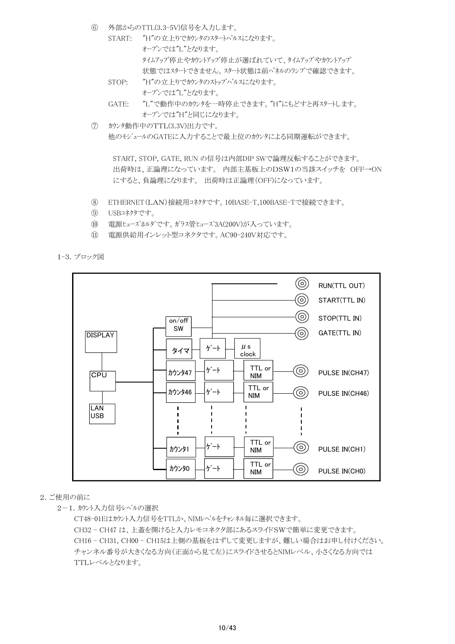- ⑥ 外部からのTTL(3.3-5V)信号を入力します。
	- START: "H"の立上りでカウンタのスタートパルスになります。 オープンでは"L"となります。 タイムアップ停止やカウントアップ停止が選ばれていて、タイムアップやカウントアップ 状態ではスタートできません。スタート状態は前パネルのランプで確認できます。
	- STOP: "H"の立上りでカウンタのストップパルスになります。 オープンでは"L"となります。
	- GATE: "L"で動作中のカウンタを一時停止できます。"H"にもどすと再スタートします。 オープンでは"H"と同じになります。
- ⑦ カウンタ動作中のTTL(3.3V)出力です。 他のモジュールのGATEに入力することで最上位のカウンタによる同期運転ができます。

 START, STOP, GATE, RUN の信号は内部DIP SWで論理反転することができます。 出荷時は、正論理になっています。 内部主基板上のDSW1の当該スイッチを OFF→ON にすると、負論理になります。 出荷時は正論理(OFF)になっています。

- ⑧ ETHERNET(LAN)接続用コネクタです。10BASE-T,100BASE-Tで接続できます。
- ⑨ USBコネクタです。
- ⑩ 電源ヒューズホルダです。ガラス管ヒューズ3A(200V)が入っています。
- ⑪ 電源供給用インレット型コネクタです。AC90-240V対応です。

1-3.ブロック図



### 2.ご使用の前に

2-1. カウント入力信号レベルの選択

CT48-01Eはカウント入力信号をTTLか、NIMレベルをチャンネル毎に選択できます。 CH32 - CH47 は、上蓋を開けると入力レモコネクタ部にあるスライドSWで簡単に変更できます。 CH16 - CH31, CH00 - CH15は上側の基板をはずして変更しますが、難しい場合はお申し付けください。 チャンネル番号が大きくなる方向(正面から見て左)にスライドさせるとNIMレベル、小さくなる方向では TTLレベルとなります。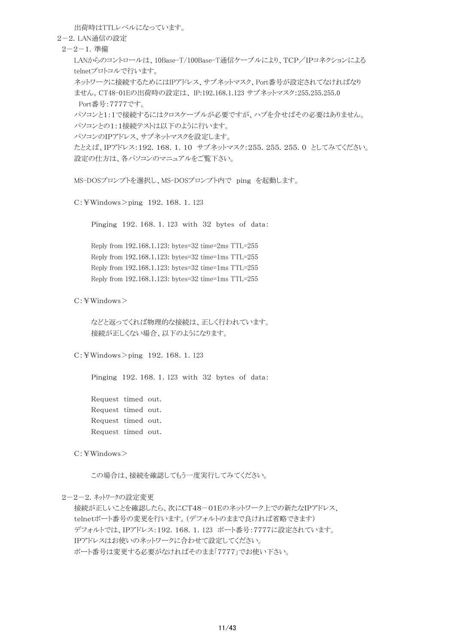出荷時はTTLレベルになっています。

2-2.LAN通信の設定

2-2-1.準備

LANからのコントロールは、10Base-T/100Base-T通信ケーブルにより、TCP/IPコネクションによる telnetプロトコルで行います。

ネットワークに接続するためにはIPアドレス、サブネットマスク、Port番号が設定されてなければなり ません。CT48-01Eの出荷時の設定は、 IP:192.168.1.123 サブネットマスク:255.255.255.0 Port番号:7777です。

パソコンと1:1で接続するにはクロスケーブルが必要ですが、ハブを介せばその必要はありません。 パソコンとの1:1接続テストは以下のように行います。

パソコンのIPアドレス、サブネットマスクを設定します。

たとえば、IPアドレス:192.168.1.10 サブネットマスク:255.255.255.0 としてみてください。 設定の仕方は、各パソコンのマニュアルをご覧下さい。

MS-DOSプロンプトを選択し、MS-DOSプロンプト内で ping を起動します。

C:¥Windows>ping 192.168.1.123

Pinging 192.168.1.123 with 32 bytes of data:

Reply from 192.168.1.123: bytes=32 time=2ms TTL=255 Reply from 192.168.1.123: bytes=32 time=1ms TTL=255 Reply from 192.168.1.123: bytes=32 time=1ms TTL=255 Reply from 192.168.1.123: bytes=32 time=1ms TTL=255

C:¥Windows>

などと返ってくれば物理的な接続は、正しく行われています。 接続が正しくない場合、以下のようになります。

C:¥Windows>ping 192.168.1.123

Pinging 192.168.1.123 with 32 bytes of data:

Request timed out. Request timed out. Request timed out. Request timed out.

 $C:$ ¥Windows $>$ 

この場合は、接続を確認してもう一度実行してみてください。

2-2-2.ネットワークの設定変更

接続が正しいことを確認したら、次にCT48-01Eのネットワーク上での新たなIPアドレス、 telnetポート番号の変更を行います。(デフォルトのままで良ければ省略できます) デフォルトでは、IPアドレス:192.168.1.123 ポート番号:7777に設定されています。 IPアドレスはお使いのネットワークに合わせて設定してください。 ポート番号は変更する必要がなければそのまま「7777」でお使い下さい。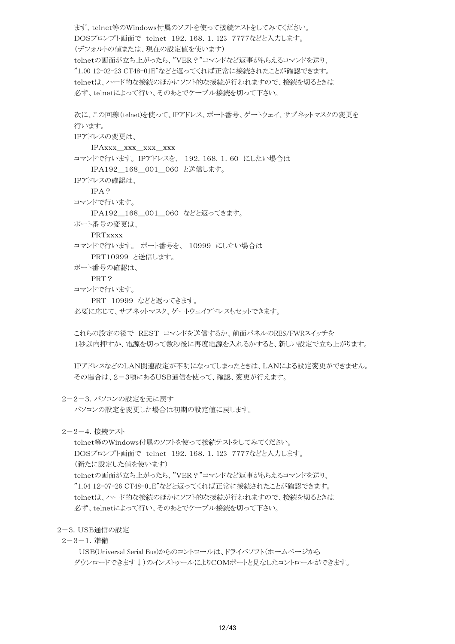まず、telnet等のWindows付属のソフトを使って接続テストをしてみてください。 DOSプロンプト画面で telnet 192.168.1.123 7777などと入力します。 (デフォルトの値または、現在の設定値を使います) telnetの画面が立ち上がったら、"VER?"コマンドなど返事がもらえるコマンドを送り、 "1.00 12-02-23 CT48-01E"などと返ってくれば正常に接続されたことが確認できます。 telnetは、ハード的な接続のほかにソフト的な接続が行われますので、接続を切るときは 必ず、telnetによって行い、そのあとでケーブル接続を切って下さい。

```
次に、この回線(telnet)を使って、IPアドレス、ポート番号、ゲートウェイ、サブネットマスクの変更を
行います。
IPアドレスの変更は、
   IPAxxx_xxx_xxx_xxx 
コマンドで行います。 IPアドレスを、 192.168.1.60 にしたい場合は
   IPA192 168 001 060 と送信します。
IPアドレスの確認は、
  IPA?
コマンドで行います。
   IPA192_168_001_060 などと返ってきます。 
ポート番号の変更は、
   PRTxxxx 
コマンドで行います。 ポート番号を、 10999 にしたい場合は
   PRT10999 と送信します。 
ポート番号の確認は、
   PRT?
コマンドで行います。
   PRT 10999 などと返ってきます。 
必要に応じて、サブネットマスク、ゲートウェイアドレスもセットできます。
これらの設定の後で REST コマンドを送信するか、前面パネルのRES/FWRスイッチを
1秒以内押すか、電源を切って数秒後に再度電源を入れるかすると、新しい設定で立ち上がります。
```
IPアドレスなどのLAN関連設定が不明になってしまったときは、LANによる設定変更ができません。 その場合は、2-3項にあるUSB通信を使って、確認、変更が行えます。

2-2-3.パソコンの設定を元に戻す

パソコンの設定を変更した場合は初期の設定値に戻します。

2-2-4.接続テスト

telnet等のWindows付属のソフトを使って接続テストをしてみてください。 DOSプロンプト画面で telnet 192.168.1.123 7777などと入力します。 (新たに設定した値を使います) telnetの画面が立ち上がったら、"VER?"コマンドなど返事がもらえるコマンドを送り、 "1.04 12-07-26 CT48-01E"などと返ってくれば正常に接続されたことが確認できます。 telnetは、ハード的な接続のほかにソフト的な接続が行われますので、接続を切るときは 必ず、telnetによって行い、そのあとでケーブル接続を切って下さい。

2-3.USB通信の設定

2-3-1.準備

 USB(Universal Serial Bus)からのコントロールは、ドライバソフト(ホームページから ダウンロードできます↓)のインストゥールによりCOMポートと見なしたコントロールができます。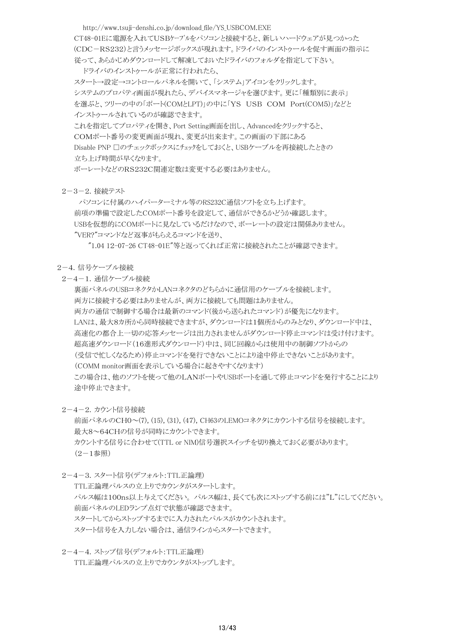http://www.tsuji-denshi.co.jp/download\_file/YS\_USBCOM.EXE CT48-01Eに電源を入れてUSBケーブルをパソコンと接続すると、新しいハードウェアが見つかった (CDC-RS232)と言うメッセージボックスが現れます。ドライバのインストゥールを促す画面の指示に 従って、あらかじめダウンロードして解凍しておいたドライバのフォルダを指定して下さい。 ドライバのインストゥールが正常に行われたら、 スタート→設定→コントロールパネルを開いて、「システム」アイコンをクリックします。

システムのプロパティ画面が現れたら、デバイスマネージャを選びます。更に「種類別に表示」 を選ぶと、ツリーの中の「ポート(COMとLPT)」の中に「YS USB COM Port(COM5)」などと インストゥールされているのが確認できます。

これを指定してプロパティを開き、Port Setting画面を出し、Advancedをクリックすると、 COMポート番号の変更画面が現れ、変更が出来ます。この画面の下部にある Disable PNP 口のチェックボックスにチェックをしておくと、USBケーブルを再接続したときの 立ち上げ時間が早くなります。

ボーレートなどのRS232C関連定数は変更する必要はありません。

2-3-2.接続テスト

 パソコンに付属のハイパーターミナル等のRS232C通信ソフトを立ち上げます。 前項の準備で設定したCOMポート番号を設定して、通信ができるかどうか確認します。 USBを仮想的にCOMポートに見なしているだけなので、ボーレートの設定は関係ありません。 "VER?"コマンドなど返事がもらえるコマンドを送り、

"1.04 12-07-26 CT48-01E"等と返ってくれば正常に接続されたことが確認できます。

#### 2-4.信号ケーブル接続

2-4-1.通信ケーブル接続

裏面パネルのUSBコネクタかLANコネクタのどちらかに通信用のケーブルを接続します。 両方に接続する必要はありませんが、両方に接続しても問題はありません。 両方の通信で制御する場合は最新のコマンド(後から送られたコマンド)が優先になります。 LANは、最大8カ所から同時接続できますが、ダウンロードは1個所からのみとなり、ダウンロード中は、 高速化の都合上一切の応答メッセージは出力されませんがダウンロード停止コマンドは受け付けます。 超高速ダウンロード(16進形式ダウンロード)中は、同じ回線からは使用中の制御ソフトからの (受信で忙しくなるため)停止コマンドを発行できないことにより途中停止できないことがあります。 (COMM monitor画面を表示している場合に起きやすくなります) この場合は、他のソフトを使って他のLANポートやUSBポートを通して停止コマンドを発行することにより 途中停止できます。

2-4-2.カウント信号接続

前面パネルのCH0~(7), (15), (31), (47), CH63のLEMOコネクタにカウントする信号を接続します。 最大8~64CHの信号が同時にカウントできます。 カウントする信号に合わせて(TTL or NIM)信号選択スイッチを切り換えておく必要があります。  $(2-1$ 参照 $)$ 

2-4-3. スタート信号(デフォルト:TTL正論理)

TTL正論理パルスの立上りでカウンタがスタートします。 パルス幅は100ns以上与えてください。 パルス幅は、長くても次にストップする前には"L"にしてください。 前面パネルのLEDランプ点灯で状態が確認できます。 スタートしてからストップするまでに入力されたパルスがカウントされます。 スタート信号を入力しない場合は、通信ラインからスタートできます。

 2-4-4.ストップ信号(デフォルト:TTL正論理) TTL正論理パルスの立上りでカウンタがストップします。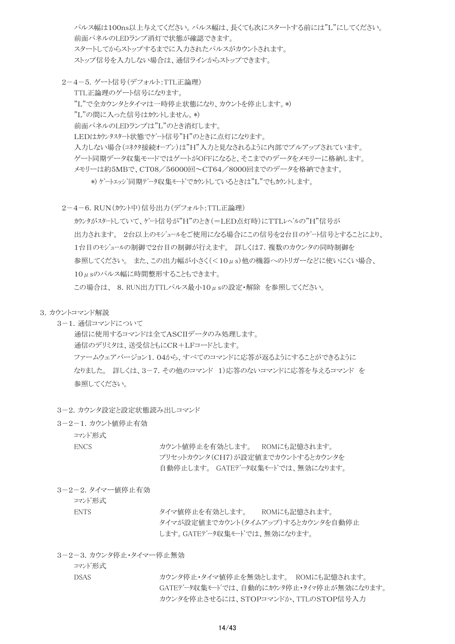パルス幅は100ns以上与えてください。パルス幅は、長くても次にスタートする前には"L"にしてください。 前面パネルのLEDランプ消灯で状態が確認できます。 スタートしてからストップするまでに入力されたパルスがカウントされます。 ストップ信号を入力しない場合は、通信ラインからストップできます。

- 2-4-5. ゲート信号(デフォルト:TTL正論理) TTL正論理のゲート信号になります。 "L"で全カウンタとタイマは一時停止状態になり、カウントを停止します。\*) "L"の間に入った信号はカウントしません。\*) 前面パネルのLEDランプは"L"のとき消灯します。 LEDはカウンタスタート状態でゲート信号"H"のときに点灯になります。 入力しない場合(コネクタ接続オープン)は"H"入力と見なされるように内部でプルアップされています。 ゲート同期データ収集モードではゲートがOFFになると、そこまでのデータをメモリーに格納します。 メモリーは約5MBで、CT08/56000回~CT64/8000回までのデータを格納できます。 \*) ゲートエッジ同期データ収集モードでカウントしているときは"L"でもカウントします。
- 2-4-6.RUN(カウント中)信号出力(デフォルト:TTL正論理)
	- カウンタがスタートしていて、ゲート信号が"H"のとき(=LED点灯時)にTTLレベルの"H"信号が 出力されます。 2台以上のモジュールをご使用になる場合にこの信号を2台目のゲート信号とすることにより、 1台目のモジュールの制御で2台目の制御が行えます。 詳しくは7.複数のカウンタの同時制御を 参照してください。 また、この出力幅が小さく(<10μs)他の機器へのトリガーなどに使いにくい場合、 10μsのパルス幅に時間整形することもできます。 この場合は、 8.RUN出力TTLパルス最小10μsの設定・解除 を参照してください。
- 3.カウントコマンド解説
	- 3-1.通信コマンドについて

通信に使用するコマンドは全てASCIIデータのみ処理します。 通信のデリミタは、送受信ともにCR+LFコードとします。 ファームウェアバージョン1.04から、すべてのコマンドに応答が返るようにすることができるように なりました。 詳しくは、3-7.その他のコマンド 1)応答のないコマンドに応答を与えるコマンド を 参照してください。

- 3-2. カウンタ設定と設定状態読み出しコマンド
- 3-2-1.カウント値停止有効
	- コマンド形式

ENCS カウント値停止を有効とします。 ROMにも記憶されます。 プリセットカウンタ(CH7)が設定値までカウントするとカウンタを 自動停止します。 GATEデータ収集モードでは、無効になります。

3-2-2.タイマー値停止有効

コマンド形式

ENTS タイマ値停止を有効とします。 ROMにも記憶されます。 タイマが設定値までカウント(タイムアップ)するとカウンタを自動停止 します。GATEデータ収集モードでは、無効になります。

3-2-3.カウンタ停止・タイマー停止無効

コマンド形式

DSAS カウンタ停止・タイマ値停止を無効とします。 ROMにも記憶されます。 GATEデータ収集モードでは、自動的にカウンタ停止・タイマ停止が無効になります。 カウンタを停止させるには、STOPコマンドか、TTLのSTOP信号入力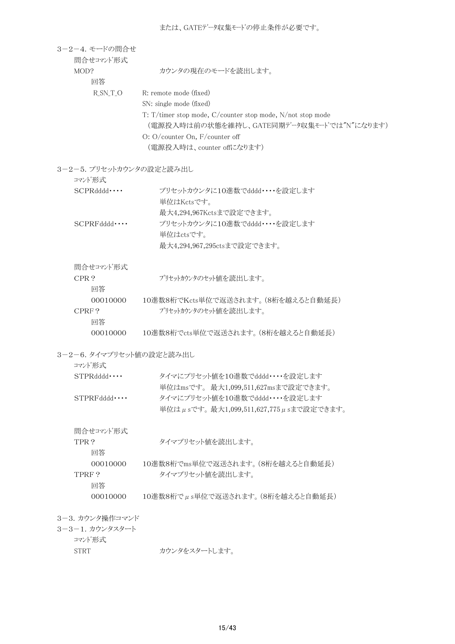| 3-2-4. モードの間合せ           |                                                            |  |  |  |
|--------------------------|------------------------------------------------------------|--|--|--|
| 間合せコマンド形式                |                                                            |  |  |  |
| MOD?<br>回答               | カウンタの現在のモードを読出します。                                         |  |  |  |
| $R_SN_T_O$               | R: remote mode (fixed)                                     |  |  |  |
|                          | SN: single mode (fixed)                                    |  |  |  |
|                          | T: T/timer stop mode, C/counter stop mode, N/not stop mode |  |  |  |
|                          | (電源投入時は前の状態を維持し、GATE同期データ収集モードでは"N"になります)                  |  |  |  |
|                          | O: O/counter On, F/counter off                             |  |  |  |
|                          | (電源投入時は、counter offになります)                                  |  |  |  |
| 3-2-5. プリセットカウンタの設定と読み出し |                                                            |  |  |  |
| コマンド形式                   |                                                            |  |  |  |
| SCPRddd                  | プリセットカウンタに10進数でdddd・・・・を設定します                              |  |  |  |
|                          | 単位はKctsです。                                                 |  |  |  |
|                          | 最大4,294,967Kctsまで設定できます。                                   |  |  |  |
| SCPRFddd                 | プリセットカウンタに10進数でdddd・・・・を設定します                              |  |  |  |
|                          | 単位はctsです。                                                  |  |  |  |
|                          | 最大4,294,967,295ctsまで設定できます。                                |  |  |  |
| 間合せコマンド形式                |                                                            |  |  |  |
| CPR?                     | プリセットカウンタのセット値を読出します。                                      |  |  |  |
| 回答                       |                                                            |  |  |  |
| 00010000                 | 10進数8桁でKcts単位で返送されます。(8桁を越えると自動延長)                         |  |  |  |
| CPRF?                    | プリセットカウンタのセット値を読出します。                                      |  |  |  |
| 回答                       |                                                            |  |  |  |
| 00010000                 | 10進数8桁でcts単位で返送されます。(8桁を越えると自動延長)                          |  |  |  |
| 3-2-6. タイマプリセット値の設定と読み出し |                                                            |  |  |  |
| コマンド形式                   |                                                            |  |  |  |
| STPRddd                  | タイマにプリセット値を10進数でdddd・・・・を設定します                             |  |  |  |
|                          | 単位はmsです。 最大1,099,511,627msまで設定できます。                        |  |  |  |
| $STPRFdddd \cdots$       | タイマにプリセット値を10進数でdddd・・・・を設定します                             |  |  |  |
|                          | 単位はµsです。最大1,099,511,627,775µsまで設定できます。                     |  |  |  |
| 間合せコマンド形式                |                                                            |  |  |  |
| TPR?                     | タイマプリセット値を読出します。                                           |  |  |  |
| 回答                       |                                                            |  |  |  |
| 00010000                 | 10進数8桁でms単位で返送されます。(8桁を越えると自動延長)                           |  |  |  |
| TPRF?                    | タイマプリセット値を読出します。                                           |  |  |  |
| 回答                       |                                                            |  |  |  |
| 00010000                 | $10$ 進数8桁で $\mu$ s単位で返送されます。(8桁を越えると自動延長)                  |  |  |  |
| 3-3. カウンタ操作コマンド          |                                                            |  |  |  |
| 3-3-1. カウンタスタート          |                                                            |  |  |  |
|                          |                                                            |  |  |  |

- コマンド形式
	- STRT カウンタをスタートします。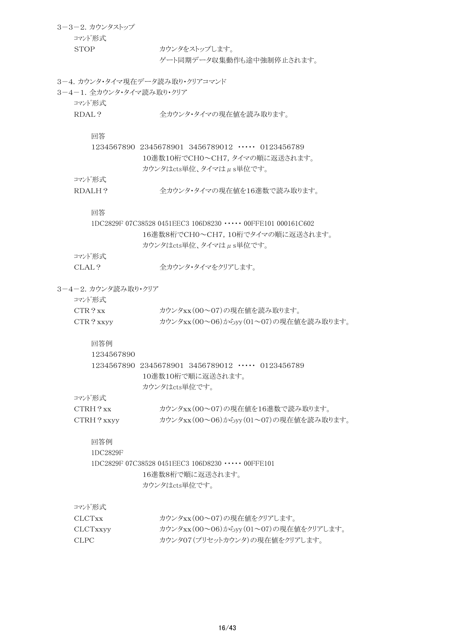| 3-3-2. カウンタストップ<br>コマンド形式 |                                                               |
|---------------------------|---------------------------------------------------------------|
| <b>STOP</b>               | カウンタをストップします。<br>ゲート同期データ収集動作も涂中強制停止されます。                     |
|                           | 3-4. カウンタ・タイマ現在データ読み取り・クリアコマンド                                |
| 3-4-1. 全カウンタ・タイマ読み取り・クリア  |                                                               |
| コマンド形式                    |                                                               |
| RDAL?                     | 全カウンタ・タイマの現在値を読み取ります。                                         |
| 回答                        |                                                               |
|                           | 1234567890 2345678901 3456789012 …… 0123456789                |
|                           | 10進数10桁でCH0~CH7, タイマの順に返送されます。                                |
|                           | カウンタはcts単位、タイマはµs単位です。                                        |
| コマンド形式                    |                                                               |
| RDALH?                    | 全カウンタ・タイマの現在値を16進数で読み取ります。                                    |
| 回答                        |                                                               |
|                           | 1DC2829F 07C38528 0451EEC3 106D8230 ····· 00FFE101 000161C602 |
|                           | 16進数8桁でCH0~CH7, 10桁でタイマの順に返送されます。                             |
|                           | カウンタはcts単位、タイマはµs単位です。                                        |
| コマンド形式                    |                                                               |
| CLAL?                     | 全カウンタ・タイマをクリアします。                                             |
| 3-4-2. カウンタ読み取り・クリア       |                                                               |
| コマンド形式                    |                                                               |
| CTR 2 xx                  | カウンタxx(00~07)の現在値を読み取ります。                                     |
| CTR? xxyy                 | カウンタxx(00~06)からyy(01~07)の現在値を読み取ります。                          |
| 回答例                       |                                                               |
| 1234567890                |                                                               |
|                           | 1234567890 2345678901 3456789012 ···· 0123456789              |
|                           | 10進数10桁で順に返送されます。                                             |
|                           | カウンタはcts単位です。                                                 |
| コマンド形式                    |                                                               |
| $CTRH$ ? xx               | カウンタxx (00~07)の現在値を16進数で読み取ります。                               |
| CTRH? xxyy                | カウンタxx(00~06)からyy(01~07)の現在値を読み取ります。                          |
| 回答例                       |                                                               |
| 1DC2829F                  |                                                               |
|                           | 1DC2829F 07C38528 0451EEC3 106D8230 ••••• 00FFE101            |
|                           | 16進数8桁で順に返送されます。                                              |
|                           | カウンタはcts単位です。                                                 |
| コマンド形式                    |                                                               |
| <b>CLCTxx</b>             | カウンタxx(00~07)の現在値をクリアします。                                     |
| CLCTxxyy                  | カウンタxx(00~06)からyy(01~07)の現在値をクリアします。                          |
| <b>CLPC</b>               | カウンタ07(プリセットカウンタ)の現在値をクリアします。                                 |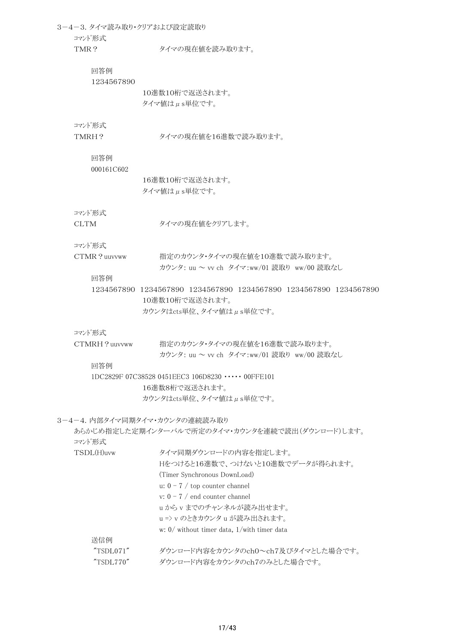3-4-3. タイマ読み取り・クリアおよび設定読取り コマンド形式 TMR? タイマの現在値を読み取ります。 回答例 1234567890 10進数10桁で返送されます。 タイマ値はμs単位です。 コマンド形式 TMRH? タイマの現在値を16進数で読み取ります。 回答例 000161C602 16進数10桁で返送されます。 タイマ値はμs単位です。 コマンド形式 CLTM タイマの現在値をクリアします。 コマンド形式 CTMR?uuvvww 指定のカウンタ・タイマの現在値を10進数で読み取ります。 カウンタ: uu ~ vv ch タイマ:ww/01 読取り ww/00 読取なし 回答例 1234567890 1234567890 1234567890 1234567890 1234567890 1234567890 10進数10桁で返送されます。 カウンタはcts単位、タイマ値はμs単位です。 コマンド形式 CTMRH?uuvvww 指定のカウンタ・タイマの現在値を16進数で読み取ります。 カウンタ: uu ~ vv ch タイマ:ww/01 読取り ww/00 読取なし 回答例 1DC2829F 07C38528 0451EEC3 106D8230 ・・・・・ 00FFE101 16進数8桁で返送されます。 カウンタはcts単位、タイマ値はμs単位です。 3-4-4. 内部タイマ同期タイマ・カウンタの連続読み取り あらかじめ指定した定期インターバルで所定のタイマ・カウンタを連続で読出(ダウンロード)します。 コマンド形式 TSDL(H)uvw タイマ同期ダウンロードの内容を指定します。 Hをつけると16進数で、つけないと10進数でデータが得られます。 (Timer Synchronous DownLoad) u:  $0 - 7$  / top counter channel v: 0 - 7 / end counter channel u から v までのチャンネルが読み出せます。 u => v のときカウンタ u が読み出されます。 w: 0/ without timer data, 1/with timer data 送信例 "TSDL071" ダウンロード内容をカウンタのch0~ch7及びタイマとした場合です。 "TSDL770" ダウンロード内容をカウンタのch7のみとした場合です。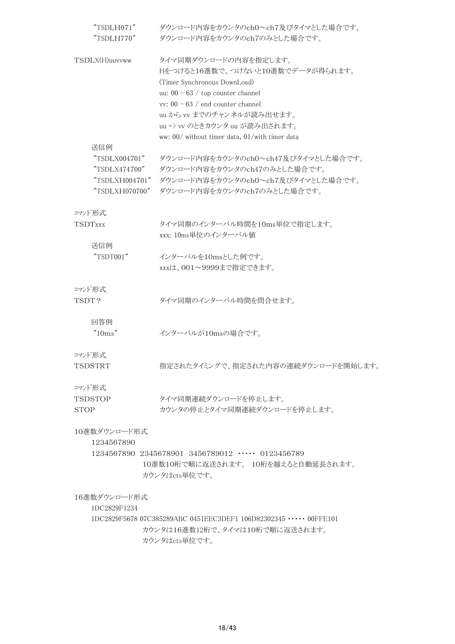| "TSDLH071"     | ダウンロード内容をカウンタのch0~ch7及びタイマとした場合です。                                 |
|----------------|--------------------------------------------------------------------|
| "TSDLH770"     | ダウンロード内容をカウンタのch7のみとした場合です。                                        |
| TSDLX(H)uuvvww | タイマ同期ダウンロードの内容を指定します。                                              |
|                | Hをつけると16進数で、つけないと10進数でデータが得られます。                                   |
|                | (Timer Synchronous DownLoad)                                       |
|                | uu: $00 - 63$ / top counter channel                                |
|                | vv: $00 - 63$ / end counter channel                                |
|                | uu から vv までのチャンネルが読み出せます。                                          |
|                | uu => vv のときカウンタ uu が読み出されます。                                      |
|                | ww: $00/$ without timer data, $01/$ with timer data                |
| 送信例            |                                                                    |
| "TSDLX004701"  | ダウンロード内容をカウンタのch0~ch47及びタイマとした場合です。                                |
| "TSDLX474700"  | ダウンロード内容をカウンタのch47のみとした場合です。                                       |
| "TSDLXH004701" | ダウンロード内容をカウンタのch0~ch7及びタイマとした場合です。                                 |
| "TSDLXH070700" | ダウンロード内容をカウンタのch7のみとした場合です。                                        |
| コマンド形式         |                                                                    |
| <b>TSDTxxx</b> | タイマ同期のインターバル時間を10ms単位で指定します。                                       |
|                | xxx: 10ms単位のインターバル値                                                |
| 送信例            |                                                                    |
| "TSDT001"      | インターバルを10msとした例です。                                                 |
|                | xxxは、001~9999まで指定できます。                                             |
|                |                                                                    |
| コマンド形式         |                                                                    |
| TSDT?          | タイマ同期のインターバル時間を間合せます。                                              |
|                |                                                                    |
| 回答例            |                                                                    |
| "10ms"         | インターバルが10msの場合です。                                                  |
|                |                                                                    |
| コマンド形式         |                                                                    |
| TSDSTRT        | 指定されたタイミングで、指定された内容の連続ダウンロードを開始します。                                |
|                |                                                                    |
| コマンド形式         |                                                                    |
| TSDSTOP        | タイマ同期連続ダウンロードを停止します。                                               |
| <b>STOP</b>    | カウンタの停止とタイマ同期連続ダウンロードを停止します。                                       |
| 10進数ダウンロード形式   |                                                                    |
| 1234567890     |                                                                    |
|                | 1234567890 2345678901 3456789012 ····· 0123456789                  |
|                | 10進数10桁で順に返送されます。 10桁を越えると自動延長されます。                                |
|                | カウンタはcts単位です。                                                      |
| 16進数ダウンロード形式   |                                                                    |
| 1DC2829F1234   |                                                                    |
|                | 1DC2829F5678 07C385289ABC 0451EEC3DEF1 106D82302345 ····· 00FFE101 |
|                | カウンタは16進数12桁で、タイマは10桁で順に返送されます。                                    |
|                | カウンタはcts単位です。                                                      |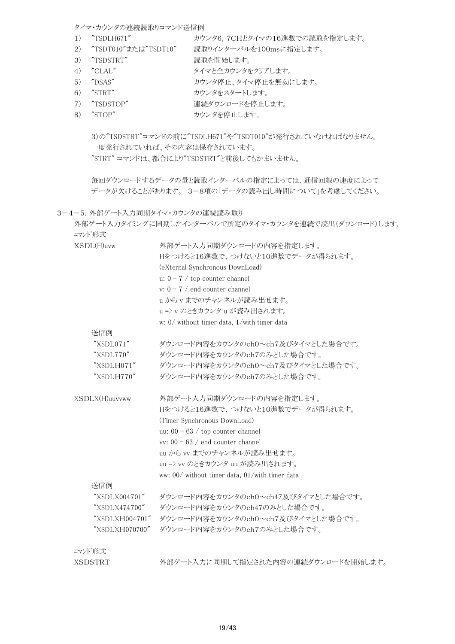タイマ・カウンタの連続読取りコマンド送信例

- 1) "TSDLH671" カウンタ6,7CHとタイマの16進数での読取を指定します。
- 2) "TSDT010"または"TSDT10" 読取りインターバルを100msに指定します。
- 3) "TSDSTRT" 読取を開始します。
- 4) "CLAL" タイマと全カウンタをクリアします。
- 5) "DSAS" カウンタ停止、タイマ停止を無効にします。
- 6) "STRT" カウンタをスタートします。
- 7) "TSDSTOP" 連続ダウンロードを停止します。
- 8) "STOP" カウンタを停止します。

3)の"TSDSTRT"コマンドの前に"TSDLH671"や"TSDT010"が発行されていなければなりません。 一度発行されていれば、その内容は保存されています。 "STRT" コマンドは、都合により"TSDSTRT"と前後してもかまいません。

毎回ダウンロードするデータの量と読取インターバルの指定によっては、通信回線の速度によって データが欠けることがあります。 3-8項の「データの読み出し時間について」を考慮してください。

3-4-5. 外部ゲート入力同期タイマ・カウンタの連続読み取り

| コマンド形式         | 外部ゲート入力タイミングに同期したインターバルで所定のタイマ・カウンタを連続で読出(ダウンロード)します。 |  |  |  |  |  |  |
|----------------|-------------------------------------------------------|--|--|--|--|--|--|
| XSDL(H)uvw     | 外部ゲート入力同期ダウンロードの内容を指定します。                             |  |  |  |  |  |  |
|                | Hをつけると16進数で、つけないと10進数でデータが得られます。                      |  |  |  |  |  |  |
|                | (eXternal Synchronous DownLoad)                       |  |  |  |  |  |  |
|                | u: $0 - 7$ / top counter channel                      |  |  |  |  |  |  |
|                | v: $0 - 7$ / end counter channel                      |  |  |  |  |  |  |
|                | uからvまでのチャンネルが読み出せます。                                  |  |  |  |  |  |  |
|                | u => v のときカウンタ u が読み出されます。                            |  |  |  |  |  |  |
|                | w: $0/$ without timer data, $1/$ with timer data      |  |  |  |  |  |  |
| 送信例            |                                                       |  |  |  |  |  |  |
| "XSDL071"      | ダウンロード内容をカウンタのch0~ch7及びタイマとした場合です。                    |  |  |  |  |  |  |
| "XSDL770"      | ダウンロード内容をカウンタのch7のみとした場合です。                           |  |  |  |  |  |  |
| "XSDLH071"     | ダウンロード内容をカウンタのch0~ch7及びタイマとした場合です。                    |  |  |  |  |  |  |
| "XSDLH770"     | ダウンロード内容をカウンタのch7のみとした場合です。                           |  |  |  |  |  |  |
| XSDLX(H)uuvvww | 外部ゲート入力同期ダウンロードの内容を指定します。                             |  |  |  |  |  |  |
|                | Hをつけると16進数で、つけないと10進数でデータが得られます。                      |  |  |  |  |  |  |
|                | (Timer Synchronous DownLoad)                          |  |  |  |  |  |  |
|                | uu: $00 - 63$ / top counter channel                   |  |  |  |  |  |  |
|                | vv: $00 - 63$ / end counter channel                   |  |  |  |  |  |  |
|                | uu から vv までのチャンネルが読み出せます。                             |  |  |  |  |  |  |
|                | uu => vv のときカウンタ uu が読み出されます。                         |  |  |  |  |  |  |
|                | ww: 00/ without timer data, 01/with timer data        |  |  |  |  |  |  |
| 送信例            |                                                       |  |  |  |  |  |  |
| "XSDLX004701"  | ダウンロード内容をカウンタのch0~ch47及びタイマとした場合です。                   |  |  |  |  |  |  |
| "XSDLX474700"  | ダウンロード内容をカウンタのch47のみとした場合です。                          |  |  |  |  |  |  |
| "XSDLXH004701" | ダウンロード内容をカウンタのch0~ch7及びタイマとした場合です。                    |  |  |  |  |  |  |
| "XSDLXH070700" | ダウンロード内容をカウンタのch7のみとした場合です。                           |  |  |  |  |  |  |
| コマンド形式         |                                                       |  |  |  |  |  |  |
| <b>XSDSTRT</b> | 外部ゲート入力に同期して指定された内容の連続ダウンロードを開始します。                   |  |  |  |  |  |  |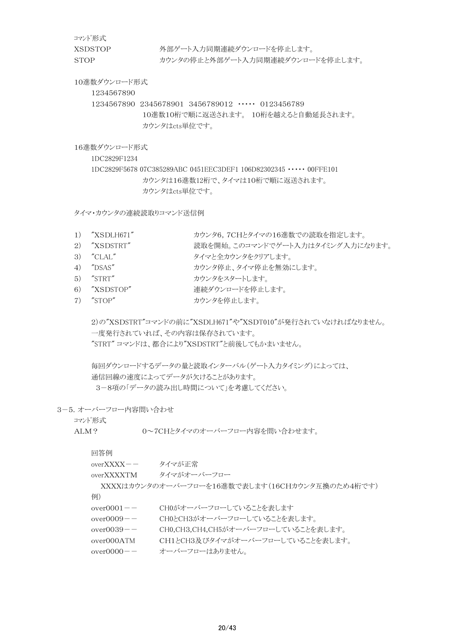コマンド形式

XSDSTOP 外部ゲート入力同期連続ダウンロードを停止します。 STOP カウンタの停止と外部ゲート入力同期連続ダウンロードを停止します。

10進数ダウンロード形式

1234567890

1234567890 2345678901 3456789012 ・・・・・ 0123456789 10進数10桁で順に返送されます。 10桁を越えると自動延長されます。 カウンタはcts単位です。

16進数ダウンロード形式

1DC2829F1234

1DC2829F5678 07C385289ABC 0451EEC3DEF1 106D82302345 ・・・・・ 00FFE101 カウンタは16進数12桁で、タイマは10桁で順に返送されます。 カウンタはcts単位です。

タイマ・カウンタの連続読取りコマンド送信例

| 1) "XSDLH671" | カウンタ6,7CHとタイマの16進数での読取を指定します。 |  |
|---------------|-------------------------------|--|
|               |                               |  |

- 2) "XSDSTRT" 読取を開始。このコマンドでゲート入力はタイミング入力になります。
- 3) "CLAL" タイマと全カウンタをクリアします。
- 4) "DSAS" カウンタ停止、タイマ停止を無効にします。
- 5) "STRT" カウンタをスタートします。
- 6) "XSDSTOP" 連続ダウンロードを停止します。
- 7) "STOP" カウンタを停止します。

 $2)$ の"XSDSTRT"コマンドの前に"XSDLH671"や"XSDT010"が発行されていなければなりません。 一度発行されていれば、その内容は保存されています。 "STRT" コマンドは、都合により"XSDSTRT"と前後してもかまいません。

毎回ダウンロードするデータの量と読取インターバル(ゲート入力タイミング)によっては、 通信回線の速度によってデータが欠けることがあります。 3-8項の「データの読み出し時間について」を考慮してください。

3-5.オーバーフロー内容問い合わせ

コマンド形式

ALM? 0~7CHとタイマのオーバーフロー内容を問い合わせます。

| 凹合例         |                                                |
|-------------|------------------------------------------------|
| overXXXX——  | タイマが正常                                         |
| overXXXXTM_ | タイマがオーバーフロー                                    |
|             | XXXXはカウンタのオーバーフローを16進数で表します(16CHカウンタ互換のため4桁です) |

例)

回答例

- over0001-- CH0がオーバーフローしていることを表します
- over0009-- CH0とCH3がオーバーフローしていることを表します。
- over0039-- CH0,CH3,CH4,CH5がオーバーフローしていることを表します。
- over000ATM CH1とCH3及びタイマがオーバーフローしていることを表します。
- over0000-- オーバーフローはありません。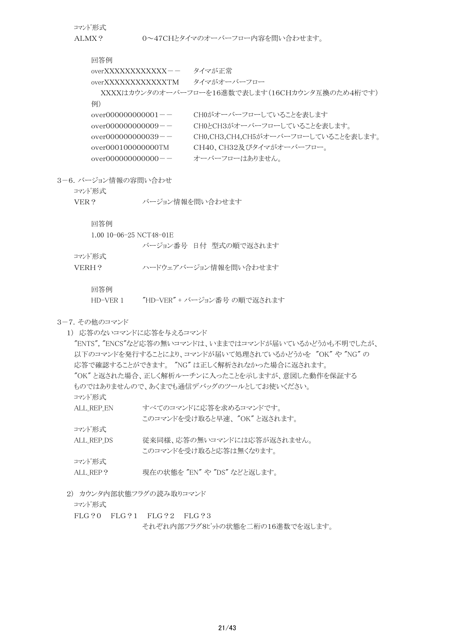コマンド形式

ALMX? 0~47CHとタイマのオーバーフロー内容を問い合わせます。

回答例

overXXXXXXXXXXXXX-- タイマが正常

overXXXXXXXXXXXXTM タイマがオーバーフロー

XXXXはカウンタのオーバーフローを16進数で表します(16CHカウンタ互換のため4桁です)

例)

| over000000000001-- | CHOがオーバーフローしていることを表します              |
|--------------------|-------------------------------------|
| over000000000009-- | CH0とCH3がオーバーフローしていることを表します。         |
| over000000000039-- | CH0.CH3.CH4.CH5がオーバーフローしていることを表します。 |
| over000100000000TM | CH40、CH32及びタイマがオーバーフロー。             |
| over000000000000—— | オーバーフローはありません。                      |

3-6.バージョン情報の容問い合わせ

コマンド形式

VER? バージョン情報を問い合わせます

回答例

| 1.00 10-06-25 NCT48-01E |  |                       |
|-------------------------|--|-----------------------|
|                         |  | バージョン番号 日付 型式の順で返されます |
| コマンド形式                  |  |                       |
| VERH ?                  |  | ハードウェアバージョン情報を問い合わせます |

回答例

HD-VER 1 "HD-VER" + バージョン番号 の順で返されます

3-7.その他のコマンド

1) 応答のないコマンドに応答を与えるコマンド

"ENTS", "ENCS"など応答の無いコマンドは、いままではコマンドが届いているかどうかも不明でしたが、 以下のコマンドを発行することにより、コマンドが届いて処理されているかどうかを "OK" や "NG" の 応答で確認することができます。 "NG" は正しく解析されなかった場合に返されます。 "OK" と返された場合、正しく解析ルーチンに入ったことを示しますが、意図した動作を保証する ものではありませんので、あくまでも通信デバッグのツールとしてお使いください。 コマンド形式 ALL REP EN すべてのコマンドに応答を求めるコマンドです。 このコマンドを受け取ると早速、 "OK" と返されます。 コマンド形式 ALL REP DS 従来同様、応答の無いコマンドには応答が返されません。 このコマンドを受け取ると応答は無くなります。 コマンド形式 ALL REP? 現在の状態を "EN" や "DS" などと返します。

2) カウンタ内部状態フラグの読み取りコマンド

コマンド形式

FLG?0 FLG?1 FLG?2 FLG?3

それぞれ内部フラグ8ビットの状態を二桁の16進数でを返します。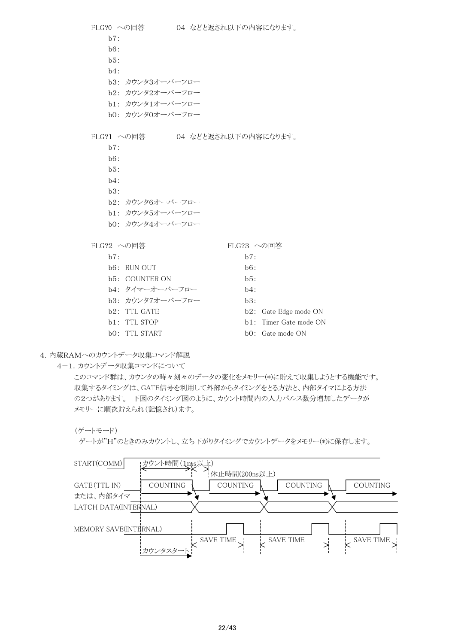| FLG?0 への回答 |                           |  |  |            |  | 04 などと返され以下の内容になります。   |
|------------|---------------------------|--|--|------------|--|------------------------|
| b7:        |                           |  |  |            |  |                        |
| b6:        |                           |  |  |            |  |                        |
| b5:        |                           |  |  |            |  |                        |
| $b4$ :     |                           |  |  |            |  |                        |
|            | b3: カウンタ3オーバーフロー          |  |  |            |  |                        |
|            | b2: カウンタ2オーバーフロー          |  |  |            |  |                        |
|            | b1: カウンタ1オーバーフロー          |  |  |            |  |                        |
|            | b0: カウンタ0オーバーフロー          |  |  |            |  |                        |
|            |                           |  |  |            |  |                        |
|            | FLG?1 への回答                |  |  |            |  | 04 などと返され以下の内容になります。   |
| b7:        |                           |  |  |            |  |                        |
| b6:        |                           |  |  |            |  |                        |
| b5:        |                           |  |  |            |  |                        |
| $b4$ :     |                           |  |  |            |  |                        |
| b3:        |                           |  |  |            |  |                        |
|            | b2: カウンタ6オーバーフロー          |  |  |            |  |                        |
|            | b1: カウンタ5オーバーフロー          |  |  |            |  |                        |
|            | b0: カウンタ4オーバーフロー          |  |  |            |  |                        |
|            |                           |  |  |            |  |                        |
| FLG?2 への回答 |                           |  |  | FLG?3 への回答 |  |                        |
| b7:        |                           |  |  | b7:        |  |                        |
|            | b6: RUN OUT               |  |  | b6:        |  |                        |
|            | <b>b5: COUNTER ON</b>     |  |  | b5:        |  |                        |
|            | b4: タイマーオーバーフロー           |  |  | b4:        |  |                        |
|            | b3: カウンタ7オーバーフロー          |  |  | b3:        |  |                        |
|            | b <sub>2</sub> : TTL GATE |  |  |            |  | b2: Gate Edge mode ON  |
|            | b1: TTL STOP              |  |  |            |  | b1: Timer Gate mode ON |
|            | b0: TTL START             |  |  |            |  | bO: Gate mode ON       |

## 4.内蔵RAMへのカウントデータ収集コマンド解説

4-1.カウントデータ収集コマンドについて

このコマンド群は、カウンタの時々刻々のデータの変化をメモリー(\*)に貯えて収集しようとする機能です。 収集するタイミングは、GATE信号を利用して外部からタイミングをとる方法と、内部タイマによる方法 の2つがあります。 下図のタイミング図のように、カウント時間内の入力パルス数分増加したデータが メモリーに順次貯えられ(記憶され)ます。

ゲートが"H"のときのみカウントし、立ち下がりタイミングでカウントデータをメモリー(\*)に保存します。



<sup>(</sup>ゲートモード)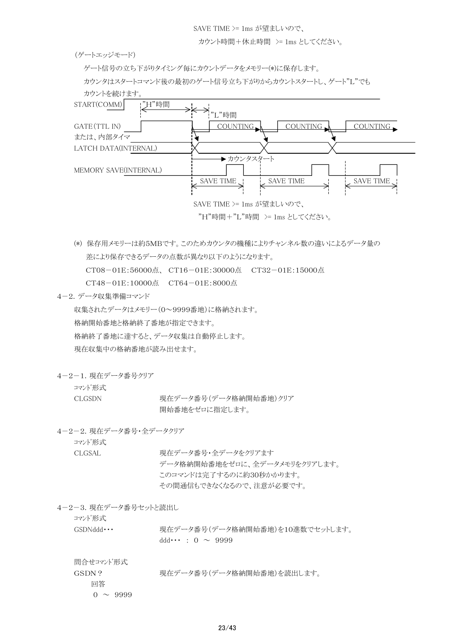SAVE TIME >= 1ms が望ましいので、

カウント時間+休止時間 >= 1ms としてください。

(ゲートエッジモード)

ゲート信号の立ち下がりタイミング毎にカウントデータをメモリー(\*)に保存します。

カウンタはスタートコマンド後の最初のゲート信号立ち下がりからカウントスタートし、ゲート"L"でも



- (\*) 保存用メモリーは約5MBです。このためカウンタの機種によりチャンネル数の違いによるデータ量の 差により保存できるデータの点数が異なり以下のようになります。 CT08-01E:56000点、 CT16-01E:30000点 CT32-01E:15000点 CT48-01E:10000点 CT64-01E:8000点
- 4-2.データ収集準備コマンド

収集されたデータはメモリー(0~9999番地)に格納されます。 格納開始番地と格納終了番地が指定できます。 格納終了番地に達すると、データ収集は自動停止します。 現在収集中の格納番地が読み出せます。

4-2-1.現在データ番号クリア

コマンド形式

CLGSDN 現在データ番号(データ格納開始番地)クリア 開始番地をゼロに指定します。

4-2-2.現在データ番号・全データクリア

コマンド形式

CLGSAL 現在データ番号·全データをクリアます データ格納開始番地をゼロに、全データメモリをクリアします。 このコマンドは完了するのに約30秒かかります。 その間通信もできなくなるので、注意が必要です。

4-2-3.現在データ番号セットと読出し

コマンド形式

GSDNddd ··· 現在データ番号(データ格納開始番地)を10進数でセットします。  $ddd \cdots : 0 \sim 9999$ 

問合せコマンド形式 GSDN? 現在データ番号(データ格納開始番地)を読出します。 回答  $0 \sim 9999$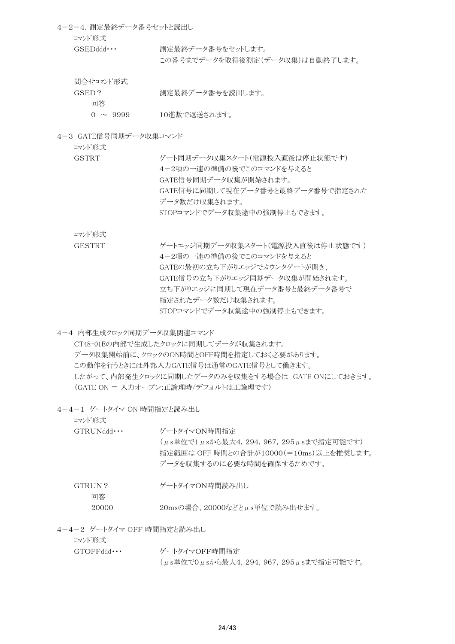4-2-4.測定最終データ番号セットと読出し コマンド形式 GSEDddd ··· 測定最終データ番号をセットします。 この番号までデータを取得後測定(データ収集)は自動終了します。 問合せコマンド形式 GSED? 測定最終データ番号を読出します。

0 ~ 9999 10進数で返送されます。

4-3 GATE信号同期データ収集コマンド

コマンド形式

回答

GSTRT ゲート同期データ収集スタート(雷源投入直後は停止状態です) 4-2項の一連の準備の後でこのコマンドを与えると GATE信号同期データ収集が開始されます。 GATE信号に同期して現在データ番号と最終データ番号で指定された データ数だけ収集されます。 STOPコマンドでデータ収集途中の強制停止もできます。

コマンド形式

GESTRT ゲートエッジ同期データ収集スタート(電源投入直後は停止状態です) 4-2項の一連の準備の後でこのコマンドを与えると GATEの最初の立ち下がりエッジでカウンタゲートが開き、 GATE信号の立ち下がりエッジ同期データ収集が開始されます。 立ち下がりエッジに同期して現在データ番号と最終データ番号で 指定されたデータ数だけ収集されます。 STOPコマンドでデータ収集途中の強制停止もできます。

4-4 内部生成クロック同期データ収集関連コマンド

CT48-01Eの内部で生成したクロックに同期してデータが収集されます。 データ収集開始前に、クロックのON時間とOFF時間を指定しておく必要があります。 この動作を行うときには外部入力GATE信号は通常のGATE信号として働きます。 したがって、内部発生クロックに同期したデータのみを収集をする場合は GATE ONにしておきます。 (GATE ON = 入力オープン:正論理時/デフォルトは正論理です)

4-4-1 ゲートタイマ ON 時間指定と読み出し

コマンド形式 GTRUNddd ··· ゲートタイマON時間指定 (μs単位で1μsから最大4,294,967,295μsまで指定可能です) 指定範囲は OFF 時間との合計が10000(=10ms)以上を推奨します。 データを収集するのに必要な時間を確保するためです。 GTRUN? ゲートタイマON時間読み出し 回答

20000 20msの場合、20000などとμs単位で読み出せます。

4-4-2 ゲートタイマ OFF 時間指定と読み出し

コマンド形式 GTOFFddd ··· ゲートタイマOFF時間指定

(μs単位で0μsから最大4,294,967,295μsまで指定可能です。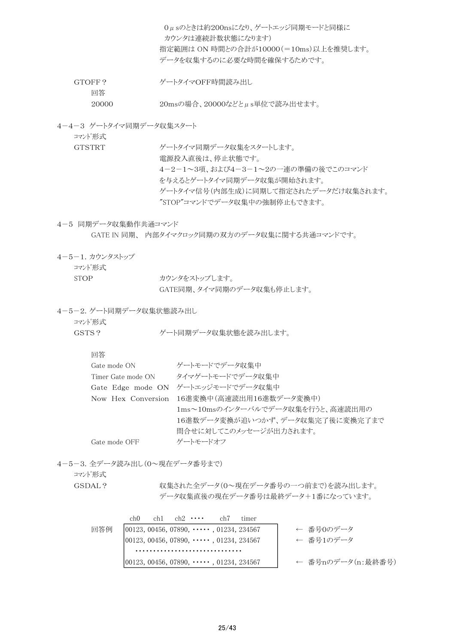|                                             | 0μsのときは約200nsになり、ゲートエッジ同期モードと同様に<br>カウンタは連続計数状熊になります)<br>指定範囲は ON 時間との合計が10000(=10ms)以上を推奨します。<br>データを収集するのに必要な時間を確保するためです。 |  |  |  |  |  |  |
|---------------------------------------------|-----------------------------------------------------------------------------------------------------------------------------|--|--|--|--|--|--|
| GTOFF?                                      | ゲートタイマOFF時間読み出し                                                                                                             |  |  |  |  |  |  |
| 回答<br>20msの場合、20000などとμs単位で読み出せます。<br>20000 |                                                                                                                             |  |  |  |  |  |  |
| 4-4-3 ゲートタイマ同期データ収集スタート<br>コマンド形式           |                                                                                                                             |  |  |  |  |  |  |
| <b>GTSTRT</b>                               | ゲートタイマ同期データ収集をスタートします。<br>電源投入直後は、停止状態です。<br>4-2-1~3項、および4-3-1~2の一連の準備の後でこのコマンド<br>を与えるとゲートタイマ同期データ収集が開始されます。               |  |  |  |  |  |  |
|                                             | ゲートタイマ信号(内部生成)に同期して指定されたデータだけ収集されます。<br>"STOP"コマンドでデータ収集中の強制停止もできます。                                                        |  |  |  |  |  |  |
| 4-5 同期データ収集動作共通コマンド                         | GATE IN 同期、内部タイマクロック同期の双方のデータ収集に関する共通コマンドです。                                                                                |  |  |  |  |  |  |
| 4-5-1. カウンタストップ<br>コマンド形式                   |                                                                                                                             |  |  |  |  |  |  |
| <b>STOP</b>                                 | カウンタをストップします。<br>GATE同期、タイマ同期のデータ収集も停止します。                                                                                  |  |  |  |  |  |  |
| 4-5-2. ゲート同期データ収集状態読み出し<br>コマンド形式           |                                                                                                                             |  |  |  |  |  |  |
| GSTS?                                       | ゲート同期データ収集状熊を読み出します。                                                                                                        |  |  |  |  |  |  |
| 回答                                          |                                                                                                                             |  |  |  |  |  |  |
| Gate mode ON                                | ゲートモードでデータ収集中                                                                                                               |  |  |  |  |  |  |
| Timer Gate mode ON                          | タイマゲートモードでデータ収集中                                                                                                            |  |  |  |  |  |  |
|                                             | Gate Edge mode ON ゲートエッジモードでデータ収集中                                                                                          |  |  |  |  |  |  |
| Now Hex Conversion                          | 16進変換中(高速読出用16進数データ変換中)                                                                                                     |  |  |  |  |  |  |
|                                             | 1ms~10msのインターバルでデータ収集を行うと、高速読出用の                                                                                            |  |  |  |  |  |  |
|                                             | 16進数データ変換が追いつかず、データ収集完了後に変換完了まで                                                                                             |  |  |  |  |  |  |
|                                             | 間合せに対してこのメッセージが出力されます。                                                                                                      |  |  |  |  |  |  |
| Gate mode OFF                               | ゲートモードオフ                                                                                                                    |  |  |  |  |  |  |
| 4-5-3. 全データ読み出し(0~現在データ番号まで)<br>コマンド形式      |                                                                                                                             |  |  |  |  |  |  |
| GSDAL?                                      | 収集された全データ(0~現在データ番号の一つ前まで)を読み出します。                                                                                          |  |  |  |  |  |  |
|                                             | データ収集直後の現在データ番号は最終データ+1番になっています。                                                                                            |  |  |  |  |  |  |
| ch <sub>0</sub>                             | $ch2 \cdots$<br>chl<br>ch7<br>timer                                                                                         |  |  |  |  |  |  |
| 回答例                                         | ← 番号0のデータ<br>00123, 00456, 07890, $\cdots$ , 01234, 234567                                                                  |  |  |  |  |  |  |
|                                             | ← 番号1のデータ<br>00123, 00456, 07890, $\cdots$ , 01234, 234567                                                                  |  |  |  |  |  |  |

|00123, 00456, 07890, ・・・・・, 01234, 234567 │ │ ← 番号nのデータ(n:最終番号)

・・・・・・・・・・・・・・・・・・・・・・・・・・・・・・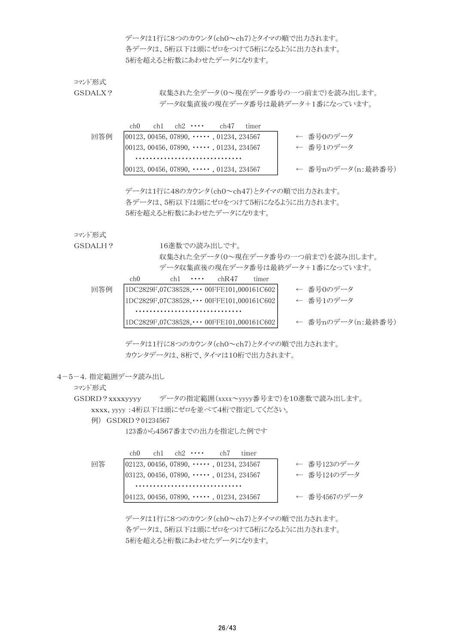データは1行に8つのカウンタ(ch0~ch7)とタイマの順で出力されます。 各データは、5桁以下は頭にゼロをつけて5桁になるように出力されます。 5桁を超えると桁数にあわせたデータになります。

コマンド形式

GSDALX? <br>
収集された全データ(0~現在データ番号の一つ前まで)を読み出します。 データ収集直後の現在データ番号は最終データ+1番になっています。

|     | ch0 | ch l | $ch2 \cdots$ | ch47                                           | timer |                   |
|-----|-----|------|--------------|------------------------------------------------|-------|-------------------|
| 同答例 |     |      |              | $[00123, 00456, 07890, \cdots, 01234, 234567]$ |       | ← 番号Oのデータ         |
|     |     |      |              | $ 00123, 00456, 07890, \cdots, 01234, 234567$  |       | ← 番号1のデータ         |
|     |     |      |              |                                                |       |                   |
|     |     |      |              | $[00123, 00456, 07890, \cdots, 01234, 234567]$ |       | ← 番号nのデータ(n:最終番号) |

データは1行に48のカウンタ(ch0~ch47)とタイマの順で出力されます。 各データは、5桁以下は頭にゼロをつけて5桁になるように出力されます。 5桁を超えると桁数にあわせたデータになります。

コマンド形式

GSDALH? 16進数での読み出しです。

収集された全データ(0~現在データ番号の一つ前まで)を読み出します。 データ収集直後の現在データ番号は最終データ+1番になっています。

|     | ch()                                                | ch <sub>1</sub> | $\cdots$ | chR47 | timer |                   |
|-----|-----------------------------------------------------|-----------------|----------|-------|-------|-------------------|
| 同答例 | $ 1DC2829F, 07C38528, \cdots 00FFE101, 000161C602 $ |                 |          |       |       | ← 番号Oのデータ         |
|     | $ 1DC2829F, 07C38528, \cdots 00FFE101, 000161C602 $ |                 |          |       |       | ← 番号1のデータ         |
|     |                                                     |                 |          |       |       |                   |
|     | $ 1DC2829F, 07C38528, \cdots 00FFE101, 000161C602 $ |                 |          |       |       | ← 番号nのデータ(n:最終番号) |

データは1行に8つのカウンタ(ch0~ch7)とタイマの順で出力されます。 カウンタデータは、8桁で、タイマは10桁で出力されます。

#### 4-5-4.指定範囲データ読み出し

コマンド形式

GSDRD?xxxxyyyy データの指定範囲(xxxx~yyyy番号まで)を10進数で読み出します。 xxxx, yyyy :4桁以下は頭にゼロを並べて4桁で指定してください。

例) GSDRD?01234567

123番から4567番までの出力を指定した例です

|    | ch0 | $ch1$ $ch2$ $\cdots$ | ch7                                            | timer |  |              |  |
|----|-----|----------------------|------------------------------------------------|-------|--|--------------|--|
| 回答 |     |                      | $[02123, 00456, 07890, \cdots, 01234, 234567]$ |       |  | ← 番号123のデータ  |  |
|    |     |                      | $[03123, 00456, 07890, \cdots, 01234, 234567]$ |       |  | ← 番号124のデータ  |  |
|    |     |                      |                                                |       |  |              |  |
|    |     |                      | $[04123, 00456, 07890, \cdots, 01234, 234567]$ |       |  | ← 番号4567のデータ |  |

データは1行に8つのカウンタ(ch0~ch7)とタイマの順で出力されます。 各データは、5桁以下は頭にゼロをつけて5桁になるように出力されます。 5桁を超えると桁数にあわせたデータになります。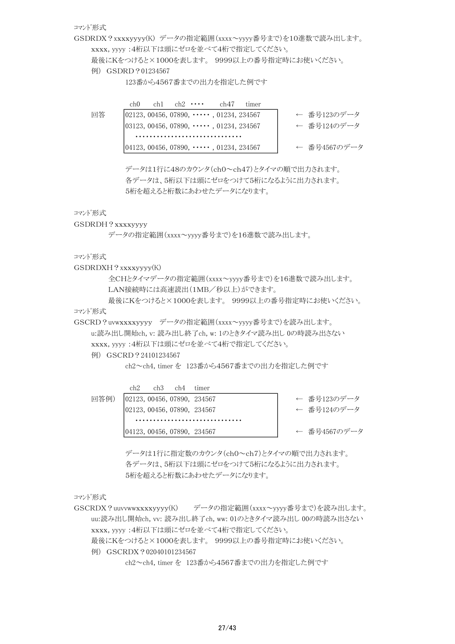コマンド形式

GSDRDX?xxxxyyyy(K) データの指定範囲(xxxx~yyyy番号まで)を10進数で読み出します。

xxxx, yyyy :4桁以下は頭にゼロを並べて4桁で指定してください。

最後にKをつけると×1000を表します。 9999以上の番号指定時にお使いください。

例) GSDRD?01234567

123番から4567番までの出力を指定した例です

|    | ch0 | $ch1$ $ch2$ $\cdots$ | ch47                                                     | timer |  |              |  |
|----|-----|----------------------|----------------------------------------------------------|-------|--|--------------|--|
| 回答 |     |                      | $\vert 02123, 00456, 07890, \cdots, 01234, 234567 \vert$ |       |  | ← 番号123のデータ  |  |
|    |     |                      | $ 03123, 00456, 07890, \cdots, 01234, 234567$            |       |  | ← 番号124のデータ  |  |
|    |     |                      |                                                          |       |  |              |  |
|    |     |                      | $[04123, 00456, 07890, \cdots, 01234, 234567]$           |       |  | ← 番号4567のデータ |  |

データは1行に48のカウンタ(ch0~ch47)とタイマの順で出力されます。 各データは、5桁以下は頭にゼロをつけて5桁になるように出力されます。 5桁を超えると桁数にあわせたデータになります。

コマンド形式

GSDRDH?xxxxyyyy

データの指定範囲(xxxx~yyyy番号まで)を16進数で読み出します。

コマンド形式

GSDRDXH?xxxxyyyy(K)

全CHとタイマデータの指定範囲(xxxx~yyyy番号まで)を16進数で読み出します。 LAN接続時には高速読出(1MB/秒以上)ができます。

最後にKをつけると×1000を表します。 9999以上の番号指定時にお使いください。 コマンド形式

GSCRD?uvwxxxxyyyy データの指定範囲(xxxx~yyyy番号まで)を読み出します。

u:読み出し開始ch, v: 読み出し終了ch, w: 1のときタイマ読み出し 0の時読み出さない xxxx, yyyy :4桁以下は頭にゼロを並べて4桁で指定してください。

例) GSCRD?24101234567

ch2~ch4, timer を 123番から4567番までの出力を指定した例です

|      | ch2 | ch3 | ch4 | timer                         |              |
|------|-----|-----|-----|-------------------------------|--------------|
| 同答例) |     |     |     | [02123, 00456, 07890, 234567] | ← 番号123のデータ  |
|      |     |     |     | 02123, 00456, 07890, 234567   | ← 番号124のデータ  |
|      |     |     |     |                               |              |
|      |     |     |     | 104123, 00456, 07890, 234567  | ← 番号4567のデータ |

番号4567のデータ

データは1行に指定数のカウンタ(ch0~ch7)とタイマの順で出力されます。 各データは、5桁以下は頭にゼロをつけて5桁になるように出力されます。 5桁を超えると桁数にあわせたデータになります。

コマンド形式

GSCRDX?uuvvwwxxxxyyyy(K) データの指定範囲(xxxx~yyyy番号まで)を読み出します。 uu:読み出し開始ch, vv: 読み出し終了ch, ww: 01のときタイマ読み出し 00の時読み出さない xxxx, yyyy :4桁以下は頭にゼロを並べて4桁で指定してください。 最後にKをつけると×1000を表します。 9999以上の番号指定時にお使いください。 例) GSCRDX?02040101234567

ch2~ch4, timer を 123番から4567番までの出力を指定した例です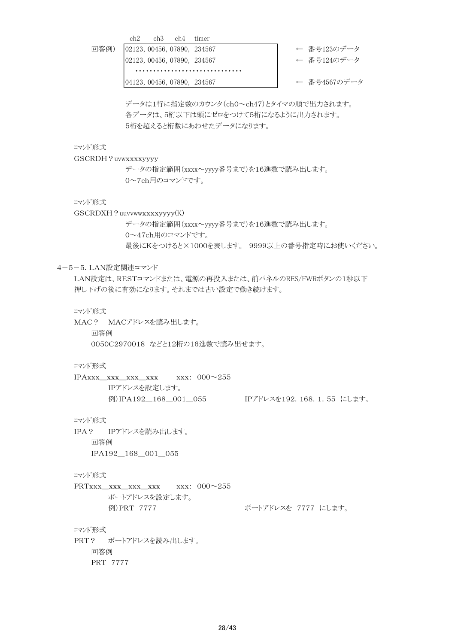ch2 ch3 ch4 timer 回答例) |02123,00456,07890, 234567 ← ← 番号123のデータ |02123,00456,07890,234567 ← 合号124のデータ ・・・・・・・・・・・・・・・・・・・・・・・・・・・・・・

|04123,00456,07890, 234567 ← ← 番号4567のデータ

データは1行に指定数のカウンタ(ch0~ch47)とタイマの順で出力されます。 各データは、5桁以下は頭にゼロをつけて5桁になるように出力されます。 5桁を超えると桁数にあわせたデータになります。

コマンド形式

GSCRDH?uvwxxxxyyyy データの指定範囲(xxxx~yyyy番号まで)を16進数で読み出します。 0~7ch用のコマンドです。

コマンド形式

GSCRDXH?uuvvwwxxxxyyyy(K)

データの指定範囲(xxxx~yyyy番号まで)を16進数で読み出します。 0~47ch用のコマンドです。 最後にKをつけると×1000を表します。 9999以上の番号指定時にお使いください。

4-5-5.LAN設定関連コマンド

LAN設定は、RESTコマンドまたは、電源の再投入または、前パネルのRES/FWRボタンの1秒以下 押し下げの後に有効になります。それまでは古い設定で動き続けます。

コマンド形式

MAC? MACアドレスを読み出します。 回答例 0050C2970018 などと12桁の16進数で読み出せます。

コマンド形式

IPAxxx\_xxx\_xxx\_xxx xxx: 000~255 IPアドレスを設定します。 例)IPA192\_168\_001\_055 IPアドレスを192.168.1.55 にします。

#### コマンド形式

IPA? IPアドレスを読み出します。 回答例 IPA192\_168\_001\_055

## コマンド形式

 $PRTxxx_xxx_xxx_xx$  xxx  $xxx: 000^\sim 255$ ポートアドレスを設定します。 例)PRT 7777 2000 インスポートアドレスを 7777 にします。

コマンド形式

PRT? ポートアドレスを読み出します。 回答例 PRT 7777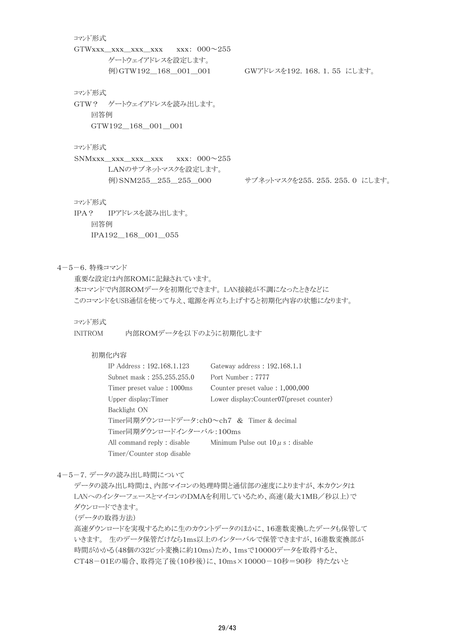#### コマンド形式

GTWxxx\_xxx\_xxx\_xxx xxx: 000~255 ゲートウェイアドレスを設定します。 例)GTW192\_168\_001\_001 GWアドレスを192.168.1.55 にします。

## コマンド形式

GTW? ゲートウェイアドレスを読み出します。 回答例 GTW192\_168\_001\_001

#### コマンド形式

SNMxxx\_xxx\_xxx\_xxx xxx: 000~255 LANのサブネットマスクを設定します。

例)SNM255 255 255 000 サブネットマスクを255.255.255.0 にします。

## コマンド形式

IPA? IPアドレスを読み出します。 回答例 IPA192\_168\_001\_055

#### 4-5-6.特殊コマンド

重要な設定は内部ROMに記録されています。 本コマンドで内部ROMデータを初期化できます。 LAN接続が不調になったときなどに このコマンドをUSB通信を使って与え、電源を再立ち上げすると初期化内容の状態になります。

#### コマンド形式

INITROM 内部ROMデータを以下のように初期化します

#### 初期化内容

| IP Address: 192.168.1.123                  | Gateway address: 192.168.1.1              |
|--------------------------------------------|-------------------------------------------|
| Subnet mask: 255.255.255.0                 | Port Number: 7777                         |
| Timer preset value: 1000ms                 | Counter preset value $: 1,000,000$        |
| Upper display: Timer                       | Lower display: Counter07 (preset counter) |
| Backlight ON                               |                                           |
| Timer同期ダウンロードデータ:ch0~ch7 & Timer & decimal |                                           |
| Timer同期ダウンロードインターバル:100ms                  |                                           |
| All command reply : disable                | Minimum Pulse out $10 \mu s$ : disable    |
| Timer/Counter stop disable                 |                                           |

#### 4-5-7.データの読み出し時間について

データの読み出し時間は、内部マイコンの処理時間と通信部の速度によりますが、本カウンタは LANへのインターフェースとマイコンのDMAを利用しているため、高速(最大1MB/秒以上)で ダウンロードできます。

(データの取得方法)

高速ダウンロードを実現するために生のカウントデータのほかに、16進数変換したデータも保管して いきます。 生のデータ保管だけなら1ms以上のインターバルで保管できますが、16進数変換部が 時間がかかる(48個の32ビット変換に約10ms)ため、1msで10000データを取得すると、 CT48-01Eの場合、取得完了後(10秒後)に、10ms×10000-10秒=90秒 待たないと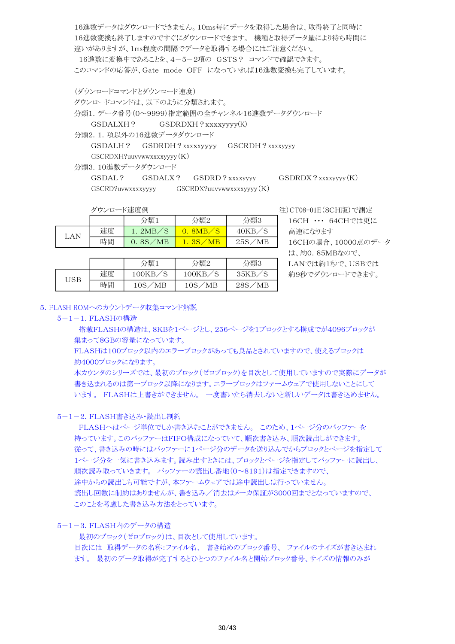16進数データはダウンロードできません。10ms毎にデータを取得した場合は、取得終了と同時に 16進数変換も終了しますのですぐにダウンロードできます。 機種と取得データ量により待ち時間に 違いがありますが、1ms程度の間隔でデータを取得する場合にはご注意ください。 16進数に変換中であることを、4-5-2項の GSTS? コマンドで確認できます。 このコマンドの応答が、Gate mode OFF になっていれば16進数変換も完了しています。

(ダウンロードコマンドとダウンロード速度) ダウンロードコマンドは、以下のように分類されます。 分類1.データ番号(0~9999)指定範囲の全チャンネル16進数データダウンロード GSDALXH? GSDRDXH?xxxxyyyy(K) 分類2.1.項以外の16進数データダウンロード GSDALH? GSDRDH?xxxxxyyyy GSCRDH?xxxxyyyy GSCRDXH?uuvvwwxxxxyyyy(K) 分類3.10進数データダウンロード

GSDAL? GSDALX? GSDRD?xxxxyyyy GSDRDX?xxxxyyyy(K) GSCRD?uvwxxxxyyyy GSCRDX?uuvvwwxxxxyyyy(K)

|     |    | 分類1           | 分類2                        | 分類3    |
|-----|----|---------------|----------------------------|--------|
| LAN | 速度 | 1. $2MB/S$    | 8MB                        | 40KB/S |
|     | 時間 | $0.8$ S $/MB$ | $^\prime\rm{MB}$<br>l. 3S. | 25S/MB |

USB <br>| 速度 | 100KB/S | 100KB/S | 35KB/S<br>| 時間 | 10S/MB | 10S/MB | 28S/MB

分類1 分類2

ダウンロード速度例 注)CT08-01E(8CH版)で測定 16CH … 64CHでは更に 高速になります 16CHの場合、10000点のデータ は、約0.85MBなので、 LANでは約1秒で、USBでは 約9秒でダウンロードできます。

#### 5.FLASH ROMへのカウントデータ収集コマンド解説

#### 5-1-1.FLASHの構造

 搭載FLASHの構造は、8KBを1ページとし、256ページを1ブロックとする構成でが4096ブロックが 集まって8GBの容量になっています。

35KB/S

分類3

FLASHは100ブロック以内のエラーブロックがあっても良品とされていますので、使えるブロックは 約4000ブロックになります。

本カウンタのシリーズでは、最初のブロック(ゼロブロック)を目次として使用していますので実際にデータが 書き込まれるのは第一ブロック以降になります。エラーブロックはファームウェアで使用しないことにして います。 FLASHは上書きができません。 一度書いたら消去しないと新しいデータは書き込めません。

#### 5-1-2.FLASH書き込み・読出し制約

 FLASHへはページ単位でしか書き込むことができません。 このため、1ページ分のバッファーを 持っています。このバッファーはFIFO構成になっていて、順次書き込み、順次読出しができます。 従って、書き込みの時にはバッファーに1ページ分のデータを送り込んでからブロックとページを指定して 1ページ分を一気に書き込みます。読み出すときには、ブロックとページを指定してバッファーに読出し、 順次読み取っていきます。 バッファーの読出し番地(0~8191)は指定できますので、 途中からの読出しも可能ですが、本ファームウェアでは途中読出しは行っていません。 読出し回数に制約はありませんが、書き込み/消去はメーカ保証が3000回までとなっていますので、 このことを考慮した書き込み方法をとっています。

### 5-1-3.FLASH内のデータの構造

 最初のブロック(ゼロブロック)は、目次として使用しています。 目次には 取得データの名称:ファイル名、 書き始めのブロック番号、 ファイルのサイズが書き込まれ ます。 最初のデータ取得が完了するとひとつのファイル名と開始ブロック番号、サイズの情報のみが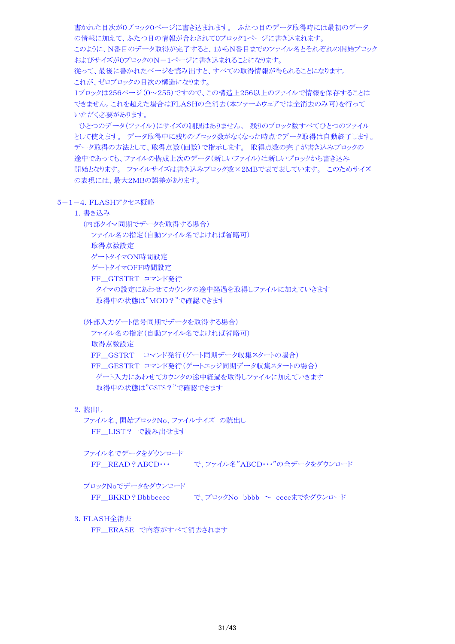書かれた目次が0ブロック0ページに書き込まれます。 ふたつ目のデータ取得時には最初のデータ の情報に加えて、ふたつ目の情報が合わされて0ブロック1ページに書き込まれます。 このように、N番目のデータ取得が完了すると、1からN番目までのファイル名とそれぞれの開始ブロック およびサイズが0ブロックのN-1ページに書き込まれることになります。

従って、最後に書かれたページを読み出すと、すべての取得情報が得られることになります。 これが、ゼロブロックの目次の構造になります。

1ブロックは256ページ(0~255)ですので、この構造上256以上のファイルで情報を保存することは できません。これを超えた場合はFLASHの全消去(本ファームウェアでは全消去のみ可)を行って いただく必要があります。

 ひとつのデータ(ファイル)にサイズの制限はありません。 残りのブロック数すべてひとつのファイル として使えます。 データ取得中に残りのブロック数がなくなった時点でデータ取得は自動終了します。 データ取得の方法として、取得点数(回数)で指示します。 取得点数の完了が書き込みブロックの 途中であっても、ファイルの構成上次のデータ(新しいファイル)は新しいブロックから書き込み 開始となります。 ファイルサイズは書き込みブロック数×2MBで表で表しています。 このためサイズ の表現には、最大2MBの誤差があります。

## 5-1-4.FLASHアクセス概略

1.書き込み

(内部タイマ同期でデータを取得する場合)

ファイル名の指定(自動ファイル名でよければ省略可)

取得点数設定

ゲートタイマON時間設定

ゲートタイマOFF時間設定

FF\_GTSTRT コマンド発行

 タイマの設定にあわせてカウンタの途中経過を取得しファイルに加えていきます 取得中の状態は"MOD?"で確認できます

(外部入力ゲート信号同期でデータを取得する場合)

ファイル名の指定(自動ファイル名でよければ省略可) 取得点数設定 FF GSTRT コマンド発行(ゲート同期データ収集スタートの場合) FF GESTRT コマンド発行(ゲートエッジ同期データ収集スタートの場合) ゲート入力にあわせてカウンタの途中経過を取得しファイルに加えていきます 取得中の状態は"GSTS?"で確認できます

## 2. 読出し

 ファイル名、開始ブロックNo、ファイルサイズ の読出し FF LIST? で読み出せます

 ファイル名でデータをダウンロード FF READ?ABCD ··· で、ファイル名"ABCD ··· "の全データをダウンロード

ブロックNoでデータをダウンロード

FF\_BKRD?Bbbbcccc で、ブロックNo bbbb ~ ccccまでをダウンロード

3.FLASH全消去

FF\_ERASE で内容がすべて消去されます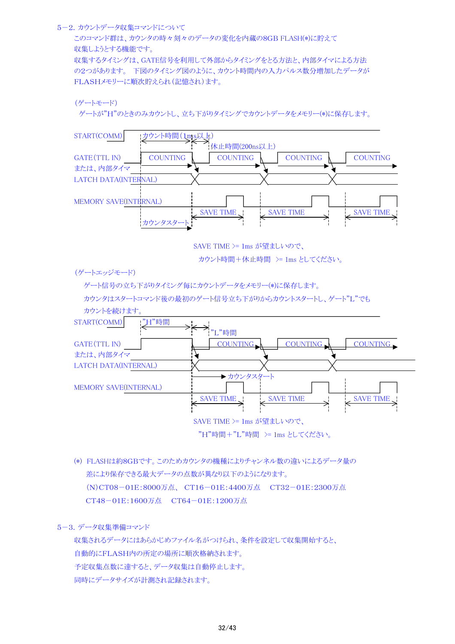#### 5-2.カウントデータ収集コマンドについて

このコマンド群は、カウンタの時々刻々のデータの変化を内蔵の8GB FLASH(\*)に貯えて 収集しようとする機能です。 収集するタイミングは、GATE信号を利用して外部からタイミングをとる方法と、内部タイマによる方法 の2つがあります。 下図のタイミング図のように、カウント時間内の入力パルス数分増加したデータが FLASHメモリーに順次貯えられ(記憶され)ます。

```
(ゲートモード)
```
ゲートが"H"のときのみカウントし、立ち下がりタイミングでカウントデータをメモリー(\*)に保存します。



"H"時間+"L"時間 >= 1ms としてください。

(\*) FLASHは約8GBです。このためカウンタの機種によりチャンネル数の違いによるデータ量の 差により保存できる最大データの点数が異なり以下のようになります。 (N)CT08-01E:8000万点、 CT16-01E:4400万点 CT32-01E:2300万点 CT48-01E:1600万点 CT64-01E:1200万点

## 5-3.データ収集準備コマンド

収集されるデータにはあらかじめファイル名がつけられ、条件を設定して収集開始すると、 自動的にFLASH内の所定の場所に順次格納されます。 予定収集点数に達すると、データ収集は自動停止します。 同時にデータサイズが計測され記録されます。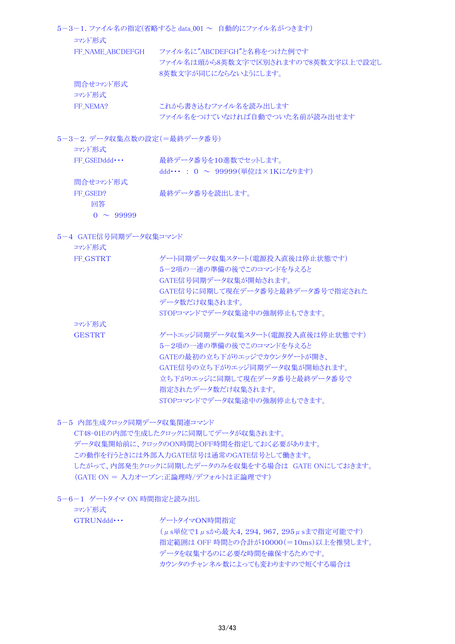|                     | 5-3-1. ファイル名の指定(省略すると data_001 ~ 自動的にファイル名がつきます)                                         |
|---------------------|------------------------------------------------------------------------------------------|
| コマンド形式              |                                                                                          |
| FF NAME ABCDEFGH    | ファイル名に"ABCDEFGH"と名称をつけた例です<br>ファイル名は頭から8英数文字で区別されますので8英数文字以上で設定し<br>8英数文字が同じにならないようにします。 |
| 間合せコマンド形式<br>コマンド形式 |                                                                                          |
| FF NEMA?            | これから書き込むファイル名を読み出します<br>ファイル名をつけていなければ自動でついた名前が読み出せます                                    |

5-3-2.データ収集点数の設定(=最終データ番号)

| コマンド形式              |                                     |
|---------------------|-------------------------------------|
| $FF GSEDddd \cdots$ | 最終データ番号を10進数でセットします。                |
|                     | ddd・・・: 0 $\sim$ 99999(単位は×1Kになります) |
| 間合せコマンド形式           |                                     |
| FF GSED?            | 最終データ番号を読出します。                      |
| 同答                  |                                     |
| $0 \sim 99999$      |                                     |

5-4 GATE信号同期データ収集コマンド

| コマンド形式        |                                  |
|---------------|----------------------------------|
| FF_GSTRT      | ゲート同期データ収集スタート(雷源投入直後は停止状態です)    |
|               | 5-2項の一連の準備の後でこのコマンドを与えると         |
|               | GATE信号同期データ収集が開始されます。            |
|               | GATE信号に同期して現在データ番号と最終データ番号で指定された |
|               | データ数だけ収集されます。                    |
|               | STOPコマンドでデータ収集涂中の強制停止もできます。      |
| コマンド形式        |                                  |
| <b>GESTRT</b> | ゲートエッジ同期データ収集スタート(雷源投入直後は停止状熊です) |
|               | 5-2項の一連の準備の後でこのコマンドを与えると         |
|               | GATEの最初の立ち下がりエッジでカウンタゲートが開き、     |
|               | GATE信号の立ち下がりエッジ同期データ収集が開始されます。   |
|               | 立ち下がりエッジに同期して現在データ番号と最終データ番号で    |
|               | 指定されたデータ数だけ収集されます。               |
|               | STOPコマンドでデータ収集途中の強制停止もできます。      |

5-5 内部生成クロック同期データ収集関連コマンド

CT48-01Eの内部で生成したクロックに同期してデータが収集されます。 データ収集開始前に、クロックのON時間とOFF時間を指定しておく必要があります。 この動作を行うときには外部入力GATE信号は通常のGATE信号として働きます。 したがって、内部発生クロックに同期したデータのみを収集をする場合は GATE ONにしておきます。 (GATE ON = 入力オープン:正論理時/デフォルトは正論理です)

5-6-1 ゲートタイマ ON 時間指定と読み出し

コマンド形式

GTRUNddd ··· ゲートタイマON時間指定 (μs単位で1μsから最大4,294,967,295μsまで指定可能です) 指定範囲は OFF 時間との合計が10000(=10ms)以上を推奨します。

> データを収集するのに必要な時間を確保するためです。 カウンタのチャンネル数によっても変わりますので短くする場合は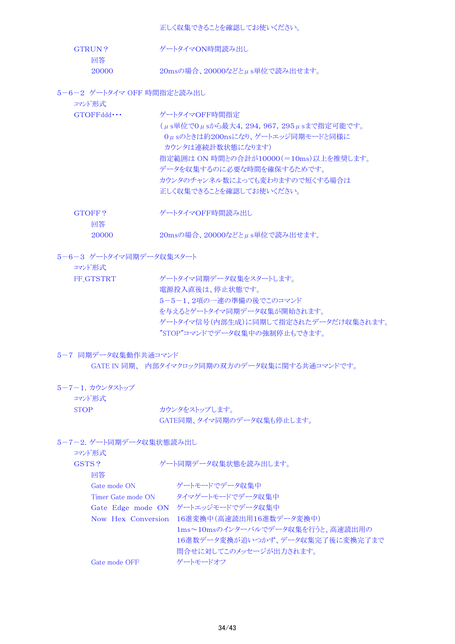正しく収集できることを確認してお使いください。

| GTRUN? | ゲートタイマON時間読み出し                               |
|--------|----------------------------------------------|
| 同答     |                                              |
| 20000  | $20\text{ms}$ の場合、20000などと $\mu$ s単位で読み出せます。 |

5-6-2 ゲートタイマ OFF 時間指定と読み出し

| コマンド形式       | - ノーコフィロキ OIT ENTEREAL CEASAPLED C                                                                                                                                                                                                                    |
|--------------|-------------------------------------------------------------------------------------------------------------------------------------------------------------------------------------------------------------------------------------------------------|
| GTOFFddd     | ゲートタイマOFF時間指定<br>(μs単位で0μsから最大4, 294, 967, 295μsまで指定可能です。<br>0μsのときは約200nsになり、ゲートエッジ同期モードと同様に<br>カウンタは連続計数状熊になります)<br>指定範囲は ON 時間との合計が10000(=10ms)以上を推奨します。<br>データを収集するのに必要な時間を確保するためです。<br>カウンタのチャンネル数によっても変わりますので短くする場合は<br>正しく収集できることを確認してお使いください。 |
| GTOFF?<br>回答 | ゲートタイマOFF時間読み出し                                                                                                                                                                                                                                       |

20000 20msの場合、20000などと $\mu$ s単位で読み出せます。

```
5-6-3 ゲートタイマ同期データ収集スタート
```

```
コマンド形式
```

| FF GTSTRT | ゲートタイマ同期データ収集をスタートします。               |
|-----------|--------------------------------------|
|           | 電源投入直後は、停止状態です。                      |
|           | 5-5-1、2項の一連の準備の後でこのコマンド              |
|           | を与えるとゲートタイマ同期データ収集が開始されます。           |
|           | ゲートタイマ信号(内部生成)に同期して指定されたデータだけ収集されます。 |
|           | "STOP"コマンドでデータ収集中の強制停止もできます。         |

## 5-7 同期データ収集動作共通コマンド

GATE IN 同期、 内部タイマクロック同期の双方のデータ収集に関する共通コマンドです。

5-7-1. カウンタストップ コマンド形式

STOP カウンタをストップします。 GATE同期、タイマ同期のデータ収集も停止します。

```
5-7-2.ゲート同期データ収集状態読み出し
```

```
コマンド形式
```

| GSTS?              | ゲート同期データ収集状熊を読み出します。             |
|--------------------|----------------------------------|
| 回答                 |                                  |
| Gate mode ON       | ゲートモードでデータ収集中                    |
| Timer Gate mode ON | タイマゲートモードでデータ収集中                 |
| Gate Edge mode ON  | ゲートエッジモードでデータ収集中                 |
| Now Hex Conversion | - 16進変換中(高速読出用16進数データ変換中)        |
|                    | 1ms~10msのインターバルでデータ収集を行うと、高速読出用の |
|                    | 16進数データ変換が追いつかず、データ収集完了後に変換完了まで  |
|                    | 間合せに対してこのメッセージが出力されます。           |
| Gate mode OFF      | ゲートモードオフ                         |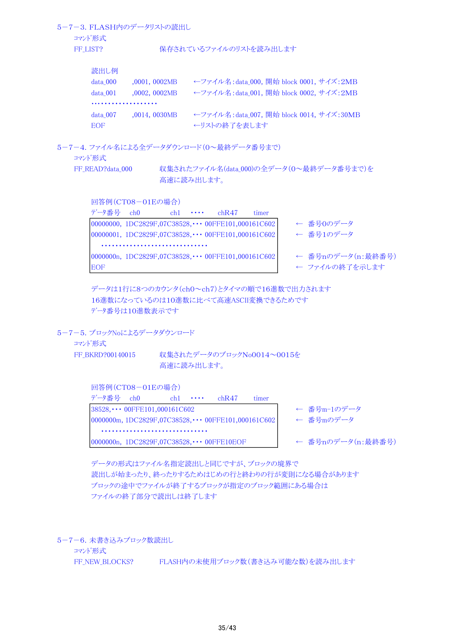5-7-3.FLASH内のデータリストの読出し コマンド形式 FF LIST? アイトランストランストランストランストを読み出します 読出し例 data\_000 \_\_\_0001,\_0002MB ←ファイル名:data\_000, 開始 block 0001, サイズ: 2MB data 001 ,0002, 0002MB ←ファイル名:data 001, 開始 block 0002, サイズ:2MB ・・・・・・・・・・・・・・・・・・・ data\_007 ,0014, 0030MB ←ファイル名:data\_007, 開始 block 0014, サイズ:30MB EOF ←リストの終了を表します

5-7-4.ファイル名による全データダウンロード(0~最終データ番号まで)

コマンド形式

FF READ?data\_000 収集されたファイル名(data\_000)の全データ(0~最終データ番号まで)を 高速に読み出します。

回答例(CT08-01Eの場合)

| データ番号 | ch <sub>0</sub>                                             | $ch1 \cdot \cdot \cdot$ | chR47 | timer |                   |
|-------|-------------------------------------------------------------|-------------------------|-------|-------|-------------------|
|       | 00000000, 1DC2829F,07C38528, $\cdots$ 00FFE101,000161C602   |                         |       |       | ← 番号0のデータ         |
|       | $00000001, 1DC2829F, 07C38528, \cdots 00$ FFE101,000161C602 |                         |       |       | ← 番号1のデータ         |
|       |                                                             |                         |       |       |                   |
|       | 0000000n, 1DC2829F,07C38528, $\cdots$ 00FFE101,000161C602   |                         |       |       | ← 番号nのデータ(n:最終番号) |
| EOF   |                                                             |                         |       |       | ← ファイルの終了を示します    |

```
データは1行に8つのカウンタ(ch0~ch7)とタイマの順で16進数で出力されます
16進数になっているのは10進数に比べて高速ASCII変換できるためです
データ番号は10進数表示です
```
5-7-5.ブロックNoによるデータダウンロード

コマンド形式

FF\_BKRD?00140015 収集されたデータのブロックNo0014~0015を 高速に読み出します。

回答例(CT08-01Eの場合)

| データ番号 $ch0$ |                                                              | $ch1 \cdot \cdots$ | chR47 | timer |                   |
|-------------|--------------------------------------------------------------|--------------------|-------|-------|-------------------|
|             | $ 38528, \cdots 00$ FFE101,000161C602                        |                    |       |       | ← 番号m-1のデータ       |
|             | $0000000$ m, 1DC2829F,07C38528, $\cdots$ 00FFE101,000161C602 |                    |       |       | ← 番号mのデータ         |
|             |                                                              |                    |       |       |                   |
|             | $ 0000000n, 1DC2829F, 07C38528, \cdots 00$ FFE10EOF          |                    |       |       | ← 番号nのデータ(n:最終番号) |

データの形式はファイル名指定読出しと同じですが、ブロックの境界で 読出しが始まったり、終ったりするためはじめの行と終わりの行が変則になる場合があります ブロックの途中でファイルが終了するブロックが指定のブロック範囲にある場合は ファイルの終了部分で読出しは終了します

5-7-6.未書き込みブロック数読出し

コマンド形式

FF NEW BLOCKS? FLASH内の未使用ブロック数(書き込み可能な数)を読み出します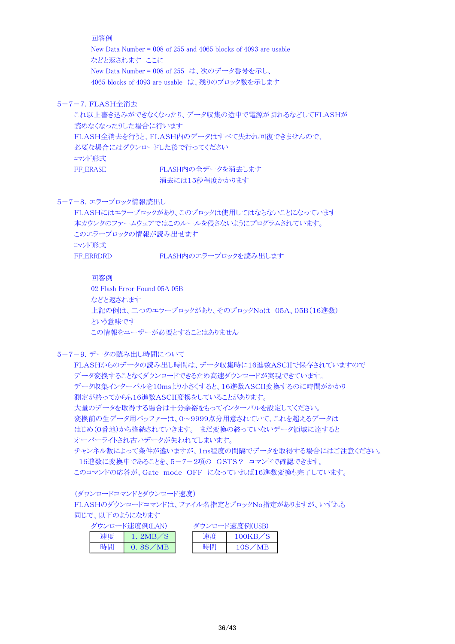回答例

New Data Number = 008 of 255 and 4065 blocks of 4093 are usable などと返されます ここに New Data Number = 008 of 255 は、次のデータ番号を示し、 4065 blocks of 4093 are usable は、残りのブロック数を示します

5-7-7.FLASH全消去

これ以上書き込みができなくなったり、データ収集の途中で電源が切れるなどしてFLASHが 読めなくなったりした場合に行います FLASH全消去を行うと、FLASH内のデータはすべて失われ回復できませんので、 必要な場合にはダウンロードした後で行ってください コマンド形式 FF ERASE FLASH内の全データを消去します

消去には15秒程度かかります

5-7-8.エラーブロック情報読出し

```
FLASHにはエラーブロックがあり、このブロックは使用してはならないことになっています
本カウンタのファームウェアではこのルールを侵さないようにプログラムされています。
このエラーブロックの情報が読み出せます
コマンド形式
FF ERRDRD FLASH内のエラーブロックを読み出します
```
回答例

02 Flash Error Found 05A 05B などと返されます 上記の例は、二つのエラーブロックがあり、そのブロックNoは 05A、05B(16進数) という意味です この情報をユーザーが必要とすることはありません

5-7-9.データの読み出し時間について

FLASHからのデータの読み出し時間は、データ収集時に16進数ASCIIで保存されていますので データ変換することなくダウンロードできるため高速ダウンロードが実現できています。 データ収集インターバルを10msより小さくすると、16進数ASCII変換するのに時間がかかり 測定が終ってからも16進数ASCII変換をしていることがあります。 大量のデータを取得する場合は十分余裕をもってインターバルを設定してください。 変換前の生データ用バッファーは、0~9999点分用意されていて、これを超えるデータは はじめ(0番地)から格納されていきます。 まだ変換の終っていないデータ領域に達すると オーバーライトされ古いデータが失われてしまいます。 チャンネル数によって条件が違いますが、1ms程度の間隔でデータを取得する場合にはご注意ください。 16進数に変換中であることを、5-7-2項の GSTS? コマンドで確認できます。 このコマンドの応答が、Gate mode OFF になっていれば16進数変換も完了しています。

(ダウンロードコマンドとダウンロード速度)

FLASHのダウンロードコマンドは、ファイル名指定とブロックNo指定がありますが、いずれも 同じで、以下のようになります

|    | ダウンロード速度例(LAN) |    | ダウンロード速度例(USB) |
|----|----------------|----|----------------|
| 速度 | 1. $2MB/S$     | 凍度 | 100KB/S        |
| 時間 | 0.8S/MB        | 時間 | 10S/MB         |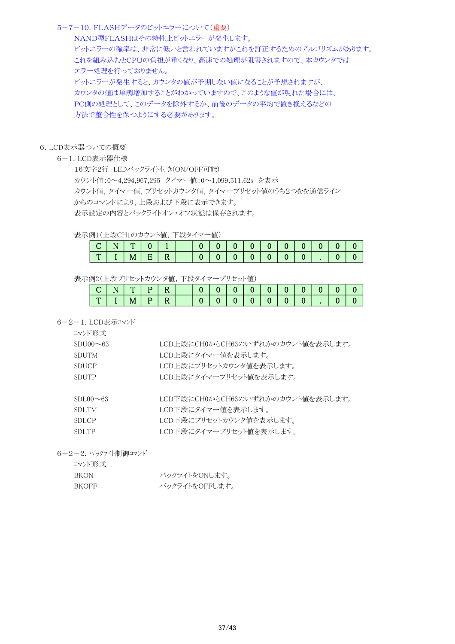#### 5-7-10.FLASHデータのビットエラーについて(重要)

NAND型FLASHはその特性上ビットエラーが発生します。 ビットエラーの確率は、非常に低いと言われていますがこれを訂正するためのアルゴリズムがあります。 これを組み込むとCPUの負担が重くなり、高速での処理が阻害されますので、本カウンタでは エラー処理を行っておりません。 ビットエラーが発生すると、カウンタの値が予期しない値になることが予想されますが、 カウンタの値は単調増加することがわかっていますので、このような値が現れた場合には、 PC側の処理として、このデータを除外するか、前後のデータの平均で置き換えるなどの 方法で整合性を保つようにする必要があります。

#### 6.LCD表示器ついての概要

6-1.LCD表示器仕様

16文字2行 LEDバックライト付き(ON/OFF可能) カウント値:0~4,294,967,295 タイマー値:0~1,099,511.62s を表示 カウント値,タイマー値,プリセットカウンタ値,タイマープリセット値のうち2つをを通信ライン からのコマンドにより、上段および下段に表示できます。 表示設定の内容とバックライトオン・オフ状態は保存されます。

## 表示例1(上段CH1のカウント値,下段タイマー値)

| $\mathbf{r}$ |  |  |  |  |  |  |  |  |
|--------------|--|--|--|--|--|--|--|--|

表示例2(上段プリセットカウンタ値,下段タイマープリセット値)

|     |   | P <sub>1</sub> |  |  | $\bf{0}$ |  |  |  |
|-----|---|----------------|--|--|----------|--|--|--|
| . . | M | $P \mid$       |  |  | $\bf{0}$ |  |  |  |

6-2-1.LCD表示コマンド

| コマンド形式          |                                   |
|-----------------|-----------------------------------|
| $SDU00\sim 63$  | LCD上段にCH0からCH63のいずれかのカウント値を表示します。 |
| <b>SDUTM</b>    | LCD上段にタイマー値を表示します。                |
| <b>SDUCP</b>    | LCD上段にプリセットカウンタ値を表示します。           |
| <b>SDUTP</b>    | LCD上段にタイマープリセット値を表示します。           |
|                 |                                   |
| $SDL00 \sim 63$ | LCD下段にCH0からCH63のいずれかのカウント値を表示します。 |
| SDLTM           | LCD下段にタイマー値を表示します。                |
| SDLCP           | LCD下段にプリセットカウンタ値を表示します。           |
| <b>SDLTP</b>    | LCD下段にタイマープリセット値を表示します。           |

6-2-2.バックライト制御コマンド

| コマンド形式       |                |
|--------------|----------------|
| BKON.        | バックライトをONします。  |
| <b>RKOFF</b> | バックライトをOFFします。 |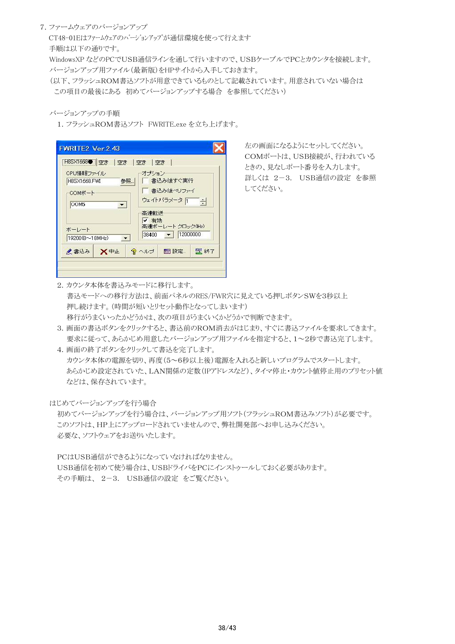#### 7.ファームウェアのバージョンアップ

 CT48-01Eはファームウェアのバージョンアップが通信環境を使って行えます 手順は以下の通りです。

 WindowsXP などのPCでUSB通信ラインを通して行いますので、USBケーブルでPCとカウンタを接続します。 バージョンアップ用ファイル(最新版)をHPサイトから入手しておきます。

 (以下、フラッシュROM書込ソフトが用意できているものとして記載されています。用意されていない場合は この項目の最後にある 初めてバージョンアップする場合 を参照してください)

#### バージョンアップの手順

1.フラッシュROM書込ソフト FWRITE.exe を立ち上げます。

| <b>FH8SX1668● 空き</b> |                          | 空き   空き   空き          |                      |        |
|----------------------|--------------------------|-----------------------|----------------------|--------|
| CPU情報ファイル            |                          | オブション                 |                      |        |
| H8SX1668.FWI         |                          | 参照                    | 書込み後すぐ実行             |        |
| COMボート               |                          |                       | ┃ 書込み後ペリファイ          |        |
| COM5                 | $\overline{\phantom{a}}$ |                       | ウェイトバラメータ 百          | $\div$ |
|                      |                          | 高速転送<br>✔ 有効          |                      |        |
| ボーレート                |                          |                       | 高速ボーレート クロック(Hz)     |        |
| 19200(8~18MHz)       |                          | 38400<br>$\mathbf{r}$ | 12000000<br>$\sim$ 1 |        |
| ●書込み                 | X <sup>++</sup>          | 9 ヘルプ                 | ■ 設定…                | 5 終了   |

左の画面になるようにセットしてください。 COMポートは、USB接続が、行われている ときの、見なしポート番号を入力します。 詳しくは 2-3. USB通信の設定 を参照 してください。

2.カウンタ本体を書込みモードに移行します。 書込モードへの移行方法は、前面パネルのRES/FWR穴に見えている押しボタンSWを3秒以上 押し続けます。(時間が短いとリセット動作となってしまいます) 移行がうまくいったかどうかは、次の項目がうまくいくかどうかで判断できます。

3.画面の書込ボタンをクリックすると、書込前のROM消去がはじまり、すぐに書込ファイルを要求してきます。 要求に従って、あらかじめ用意したバージョンアップ用ファイルを指定すると、1~2秒で書込完了します。

4.画面の終了ボタンをクリックして書込を完了します。 カウンタ本体の電源を切り、再度(5~6秒以上後)電源を入れると新しいプログラムでスタートします。 あらかじめ設定されていた、LAN関係の定数(IPアドレスなど)、タイマ停止・カウント値停止用のプリセット値 などは、保存されています。

はじめてバージョンアップを行う場合

初めてバージョンアップを行う場合は、バージョンアップ用ソフト(フラッシュROM書込みソフト)が必要です。 このソフトは、HP上にアップロードされていませんので、弊社開発部へお申し込みください。 必要な、ソフトウェアをお送りいたします。

PCはUSB通信ができるようになっていなければなりません。

USB通信を初めて使う場合は、USBドライバをPCにインストゥールしておく必要があります。 その手順は、 2-3. USB通信の設定 をご覧ください。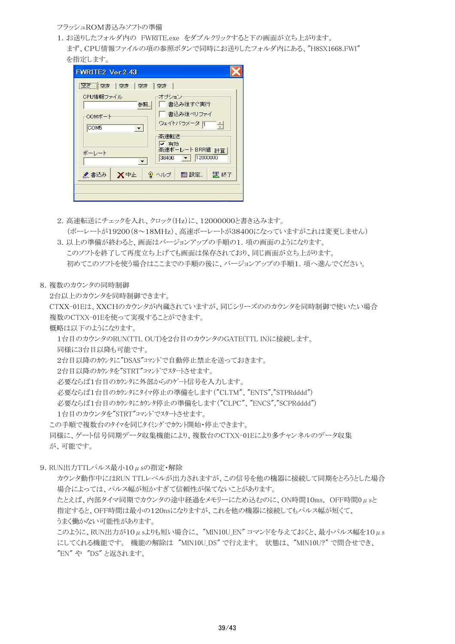### フラッシュROM書込みソフトの準備

- 1.お送りしたフォルダ内の FWRITE.exe をダブルクリックすると下の画面が立ち上がります。
- まず、CPU情報ファイルの項の参照ボタンで同時にお送りしたフォルダ内にある、"H8SX1668.FWI" を指定します。

| CPU情報ファイル                    | オブション                             |
|------------------------------|-----------------------------------|
|                              | ■ 書込み後すぐ実行<br>参照                  |
| COMボート                       | 書込み後ペリファイ<br>ウェイトバラメータ「           |
| COM5<br>$\blacktriangledown$ | $\rightarrow$                     |
|                              | 高速転送<br>✔ 有効                      |
| ボーレート                        | 高速ボーレート BRR値 計算                   |
|                              | 12000000<br>$38400$ $\rightarrow$ |
| X <sup>++</sup><br>▲書込み      | 5 終了<br>■ ? ヘルプ ■ 設定…             |

- 2.高速転送にチェックを入れ、クロック(Hz)に、12000000と書き込みます。 (ボーレートが19200(8~18MHz)、高速ボーレートが38400になっていますがこれは変更しません)
- 3.以上の準備が終わると、画面はバージョンアップの手順の1.項の画面のようになります。 このソフトを終了して再度立ち上げても画面は保存されており、同じ画面が立ち上がります。 初めてこのソフトを使う場合はここまでの手順の後に、バージョンアップの手順1.項へ進んでください。
- 8.複数のカウンタの同時制御

2台以上のカウンタを同時制御できます。

 CTXX-01Eは、XXCHのカウンタが内蔵されていますが、同じシリーズののカウンタを同時制御で使いたい場合 複数のCTXX-01Eを使って実現することができます。

概略は以下のようになります。

1台目のカウンタのRUN(TTL OUT)を2台目のカウンタのGATE(TTL IN)に接続します。

同様に3台目以降も可能です。

2台目以降のカウンタに"DSAS"コマンドで自動停止禁止を送っておきます。

- 2台目以降のカウンタを"STRT"コマンドでスタートさせます。
- 必要ならば1台目のカウンタに外部からのゲート信号を入力します。

必要ならば1台目のカウンタにタイマ停止の準備をします("CLTM"、"ENTS","STPRdddd")

必要ならば1台目のカウンタにカウンタ停止の準備をします("CLPC"、"ENCS","SCPRdddd")

- 1台目のカウンタを"STRT"コマンドでスタートさせます。
- この手順で複数台のタイマを同じタイミングでカウント開始・停止できます。

 同様に、ゲート信号同期データ収集機能により、複数台のCTXX-01Eにより多チャンネルのデータ収集 が、可能です。

9. RUN出力TTLパルス最小10μsの指定·解除

カウンタ動作中にはRUN TTLレベルが出力されますが、この信号を他の機器に接続して同期をとろうとした場合 場合によっては、パルス幅が短かすぎて信頼性が保てないことがあります。

たとえば、内部タイマ同期でカウンタの涂中経過をメモリーにため込むのに、ON時間10ms, OFF時間0usと 指定すると、OFF時間は最小の120nsになりますが、これを他の機器に接続してもパルス幅が短くて、 うまく働かない可能性があります。

このように、RUN出力が10μsよりも短い場合に、"MIN10U EN" コマンドを与えておくと、最小パルス幅を10μs にしてくれる機能です。 機能の解除は "MIN10U DS" で行えます。 状態は、 "MIN10U?" で問合せでき、 "EN" や "DS" と返されます。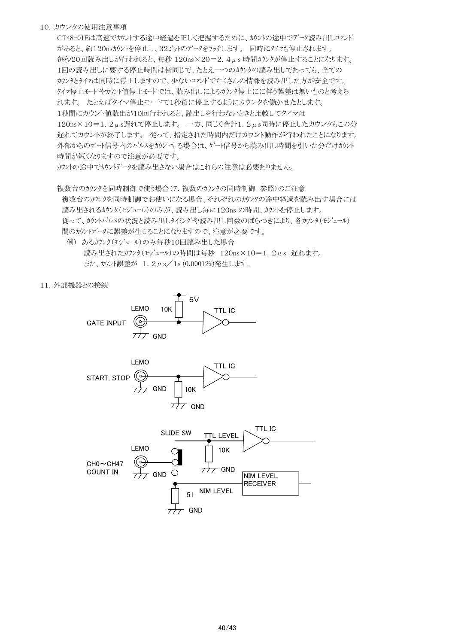### 10.カウンタの使用注意事項

CT48-01Eは高速でカウントする途中経過を正しく把握するために、カウントの途中でデータ読み出しコマンド があると、約120nsカウントを停止し、32ビットのデータをラッチします。 同時にタイマも停止されます。 毎秒20回読み出しが行われると、毎秒 120ns×20=2.4μs 時間カウンタが停止することになります。 1回の読み出しに要する停止時間は皆同じで、たとえ一つのカウンタの読み出しであっても、全ての カウンタとタイマは同時に停止しますので、少ないコマンドでたくさんの情報を読み出した方が安全です。 タイマ停止モードやカウント値停止モードでは、読み出しによるカウンタ停止にに伴う誤差は無いものと考えら れます。 たとえばタイマ停止モードで1秒後に停止するようにカウンタを働かせたとします。 1秒間にカウント値読出が10回行われると、読出しを行わないときと比較してタイマは  $120ns \times 10=1.2 \mu s$ 遅れて停止します。一方、同じく合計 $1.2 \mu s$ 同時に停止したカウンタもこの分 遅れてカウントが終了します。 従って、指定された時間内だけカウント動作が行われたことになります。 外部からのゲート信号内のパルスをカウントする場合は、ゲート信号から読み出し時間を引いた分だけカウント 時間が短くなりますので注意が必要です。

カウントの途中でカウントデータを読み出さない場合はこれらの注意は必要ありません。

複数台のカウンタを同時制御で使う場合(7.複数のカウンタの同時制御 参照)のご注意 複数台のカウンタを同時制御でお使いになる場合、それぞれのカウンタの途中経過を読み出す場合には 読み出されるカウンタ(モジュール)のみが、読み出し毎に120ns の時間、カウントを停止します。 従って、カウントパルスの状況と読み出しタイミングや読み出し回数のばらつきにより、各カウンタ(モジュール) 間のカウントデータに誤差が生じることになりますので、注意が必要です。

 例) あるカウンタ(モジュール)のみ毎秒10回読み出した場合 読み出されたカウンタ(モジュール)の時間は毎秒 120ns×10=1.2μs 遅れます。 また、カウント誤差が 1.2μs/1s (0.00012%)発生します。

11.外部機器との接続



 $7$  GND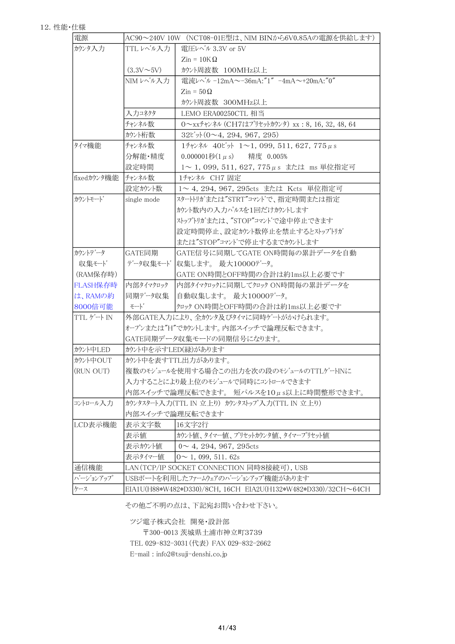| 電源          |                | AC90~240V 10W (NCT08-01E型は、NIM BINから6V0.85Aの電源を供給します)                             |
|-------------|----------------|-----------------------------------------------------------------------------------|
| カウンタ入力      | TTL レベル入力      | 電圧レベル 3.3V or 5V                                                                  |
|             |                | $\mathrm{Zin} = 10\mathrm{K}\Omega$                                               |
|             | $(3.3V\sim5V)$ | カウント周波数 100MHz以上                                                                  |
|             | NIM レベル入力      | 電流レベル -12mA~-36mA:"1" -4mA~+20mA:"0"                                              |
|             |                | $\mathrm{Zin} = 50 \Omega$                                                        |
|             |                | カウント周波数 300MHz以上                                                                  |
|             | 入力コネクタ         | LEMO ERA00250CTL 相当                                                               |
|             | チャンネル数         | $0 \sim$ xx <sup>7</sup> +> $\lambda$ $\nu$ (CH7はプリセットカウンタ) xx: 8, 16, 32, 48, 64 |
|             | カウント桁数         | $32t^{\prime}\gamma (0 \sim 4, 294, 967, 295)$                                    |
| タイマ機能       | チャンネル数         | 1チャンネル 40ビット 1~1, 099, 511, 627, 775 µ s                                          |
|             | 分解能·精度         | 0.000001秒 $(1 \mu s)$ 精度 0.005%                                                   |
|             | 設定時間           | 1~1,099,511,627,775μs または ms 単位指定可                                                |
| fixedカウンタ機能 | チャンネル数         | 1チャンネル CH7 固定                                                                     |
|             | 設定カウント数        | 1~4, 294, 967, 295cts または Kcts 単位指定可                                              |
| カウントモート     | single mode    | スタートリガまたは"STRT"コマントで、指定時間または指定                                                    |
|             |                | カウント数内の入力パルスを1回だけカウントします                                                          |
|             |                | ストップトリガまたは、"STOP"コマンドで涂中停止できます                                                    |
|             |                | 設定時間停止、設定カウント数停止を禁止するとストップトリガ                                                     |
|             |                | または"STOP"コマントで停止するまでカウントします                                                       |
| カウントデータ     | GATE同期         | GATE信号に同期してGATE ON時間毎の累計データを自動                                                    |
| 収集モード       | データ収集モード       | 収集します。 最大10000データ。                                                                |
| (RAM保存時)    |                | GATE ON時間とOFF時間の合計は約1ms以上必要です                                                     |
| FLASH保存時    | 内部タイマクロック      | 内部タイマクロックに同期してクロック ON時間毎の累計データを                                                   |
| は、RAMの約     | 同期データ収集        | 自動収集します。 最大10000データ。                                                              |
| 8000倍可能     | モート゛           | クロック ON時間とOFF時間の合計は約1ms以上必要です                                                     |
| TTL ゲート IN  |                | 外部GATE入力により、全カウンタ及びタイマに同時ゲートがかけられます。                                              |
|             |                | オープンまたは"H"でカウントします。内部スイッチで論理反転できます。                                               |
|             |                | GATE同期データ収集モードの同期信号になります。                                                         |
| カウント中LED    |                | カウント中を示すLED(緑)があります                                                               |
| カウント中OUT    |                | カウント中を表すTTL出力があります。                                                               |
| (RUN OUT)   |                | 複数のモジュールを使用する場合この出力を次の段のモジュールのTTLゲートINに                                           |
|             |                | 入力することにより最上位のモジュールで同時にコントロールできます                                                  |
|             |                | 内部スイッチで論理反転できます。短パルスを10μs以上に時間整形できます。                                             |
| コントロール入力    |                | カウンタスタート入力(TTL IN 立上り) カウンタストップ 入力(TTL IN 立上り)                                    |
|             |                | 内部スイッチで論理反転できます                                                                   |
| LCD表示機能     | 表示文字数          | 16文字2行                                                                            |
|             | 表示値            | カウント値、タイマー値、プリセットカウンタ値、タイマープリセット値                                                 |
|             | 表示カウント値        | $0 \sim 4, 294, 967, 295$ cts                                                     |
|             | 表示タイマー値        | $0 \sim 1, 099, 511.62s$                                                          |
| 通信機能        |                | LAN(TCP/IP SOCKET CONNECTION 同時8接続可), USB                                         |
| バージョンアップ    |                | USBポートを利用したファームウェアのハージョンアップ機能があります                                                |
| ケース         |                | EIA1U(H88*W482*D330)/8CH, 16CH EIA2U(H132*W482*D330)/32CH~64CH                    |

その他ご不明の点は、下記宛お問い合わせ下さい。

 ツジ電子株式会社 開発・設計部 〒300-0013 茨城県土浦市神立町3739

TEL 029-832-3031(代表) FAX 029-832-2662

E-mail : info2@tsuji-denshi.co.jp